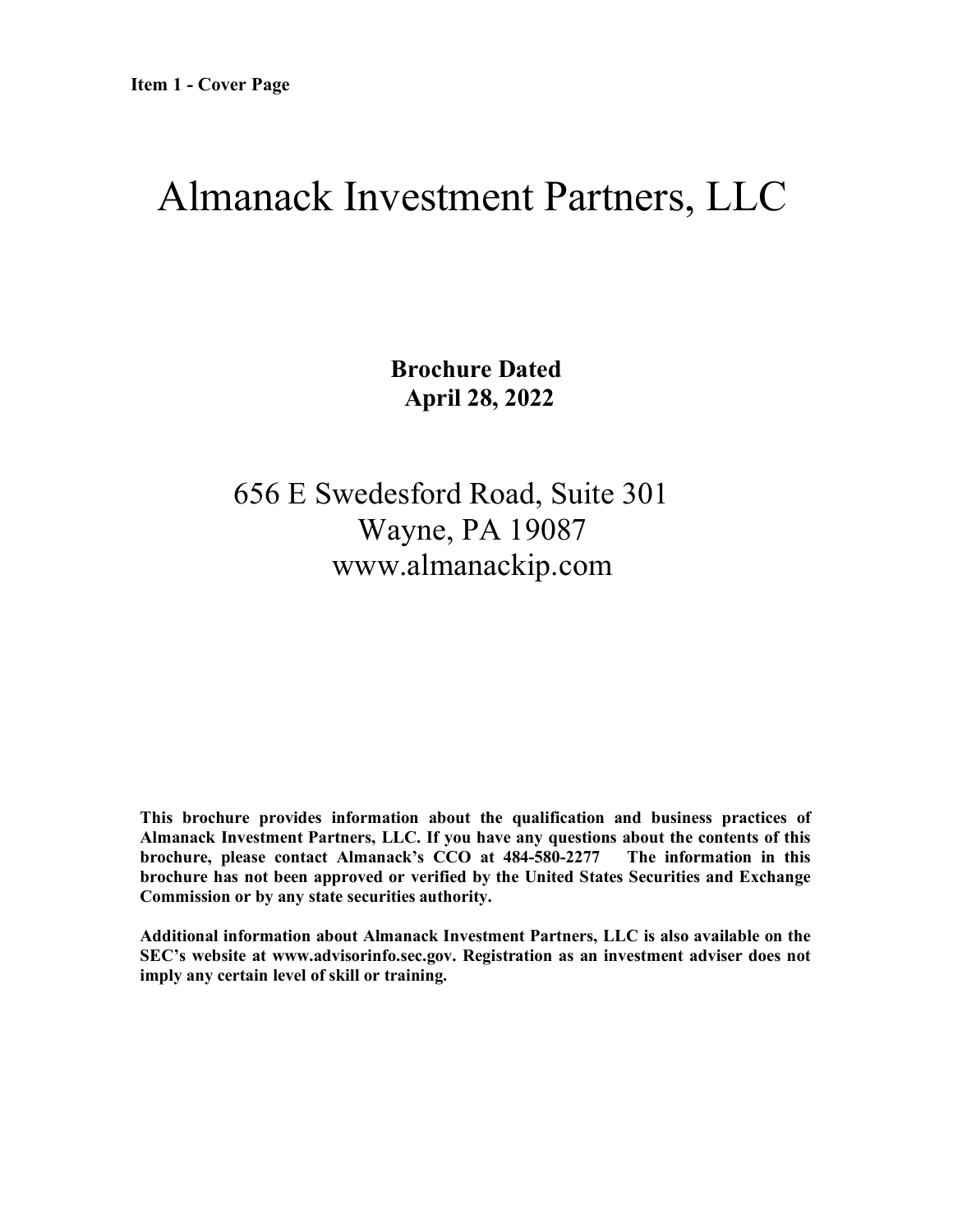# <span id="page-0-0"></span>Almanack Investment Partners, LLC

**Brochure Dated April 28, 2022**

656 E Swedesford Road, Suite 301 Wayne, PA 19087 www.almanackip.com

**This brochure provides information about the qualification and business practices of Almanack Investment Partners, LLC. If you have any questions about the contents of this brochure, please contact Almanack's CCO at 484-580-2277 The information in this brochure has not been approved or verified by the United States Securities and Exchange Commission or by any state securities authority.**

**Additional information about Almanack Investment Partners, LLC is also available on the SEC's website at [www.advisorinfo.sec.gov.](http://www.advisorinfo.sec.gov/) Registration as an investment adviser does not imply any certain level of skill or training.**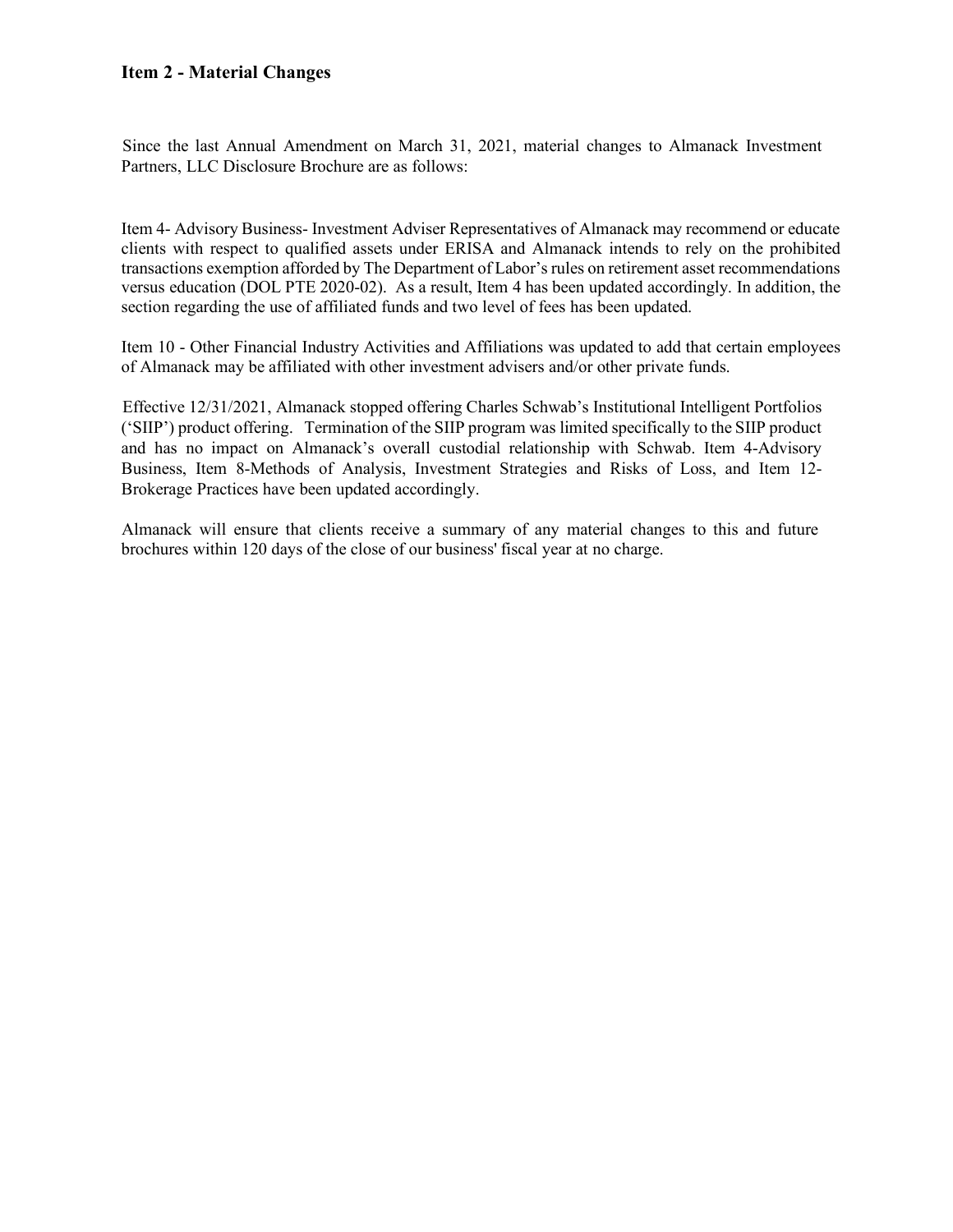## <span id="page-1-0"></span>**Item 2 - Material Changes**

Since the last Annual Amendment on March 31, 2021, material changes to Almanack Investment Partners, LLC Disclosure Brochure are as follows:

Item 4- Advisory Business- Investment Adviser Representatives of Almanack may recommend or educate clients with respect to qualified assets under ERISA and Almanack intends to rely on the prohibited transactions exemption afforded by The Department of Labor's rules on retirement asset recommendations versus education (DOL PTE 2020-02). As a result, Item 4 has been updated accordingly. In addition, the section regarding the use of affiliated funds and two level of fees has been updated.

Item 10 - Other Financial Industry Activities and Affiliations was updated to add that certain employees of Almanack may be affiliated with other investment advisers and/or other private funds.

Effective 12/31/2021, Almanack stopped offering Charles Schwab's Institutional Intelligent Portfolios ('SIIP') product offering. Termination of the SIIP program was limited specifically to the SIIP product and has no impact on Almanack's overall custodial relationship with Schwab. Item 4-Advisory Business, Item 8-Methods of Analysis, Investment Strategies and Risks of Loss, and Item 12- Brokerage Practices have been updated accordingly.

Almanack will ensure that clients receive a summary of any material changes to this and future brochures within 120 days of the close of our business' fiscal year at no charge.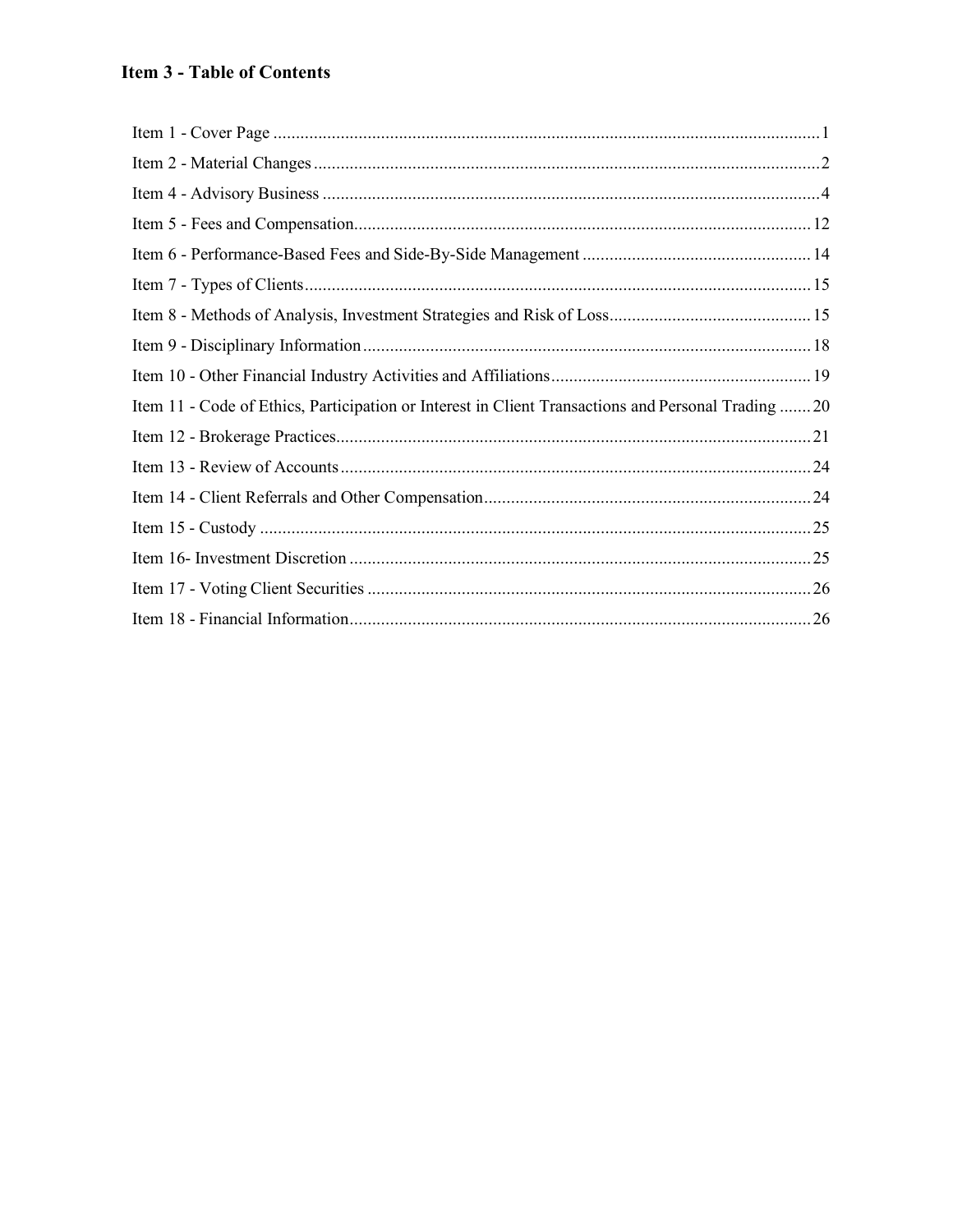# **Item 3 - Table of Contents**

| Item 11 - Code of Ethics, Participation or Interest in Client Transactions and Personal Trading  20 |  |
|-----------------------------------------------------------------------------------------------------|--|
|                                                                                                     |  |
|                                                                                                     |  |
|                                                                                                     |  |
|                                                                                                     |  |
|                                                                                                     |  |
|                                                                                                     |  |
|                                                                                                     |  |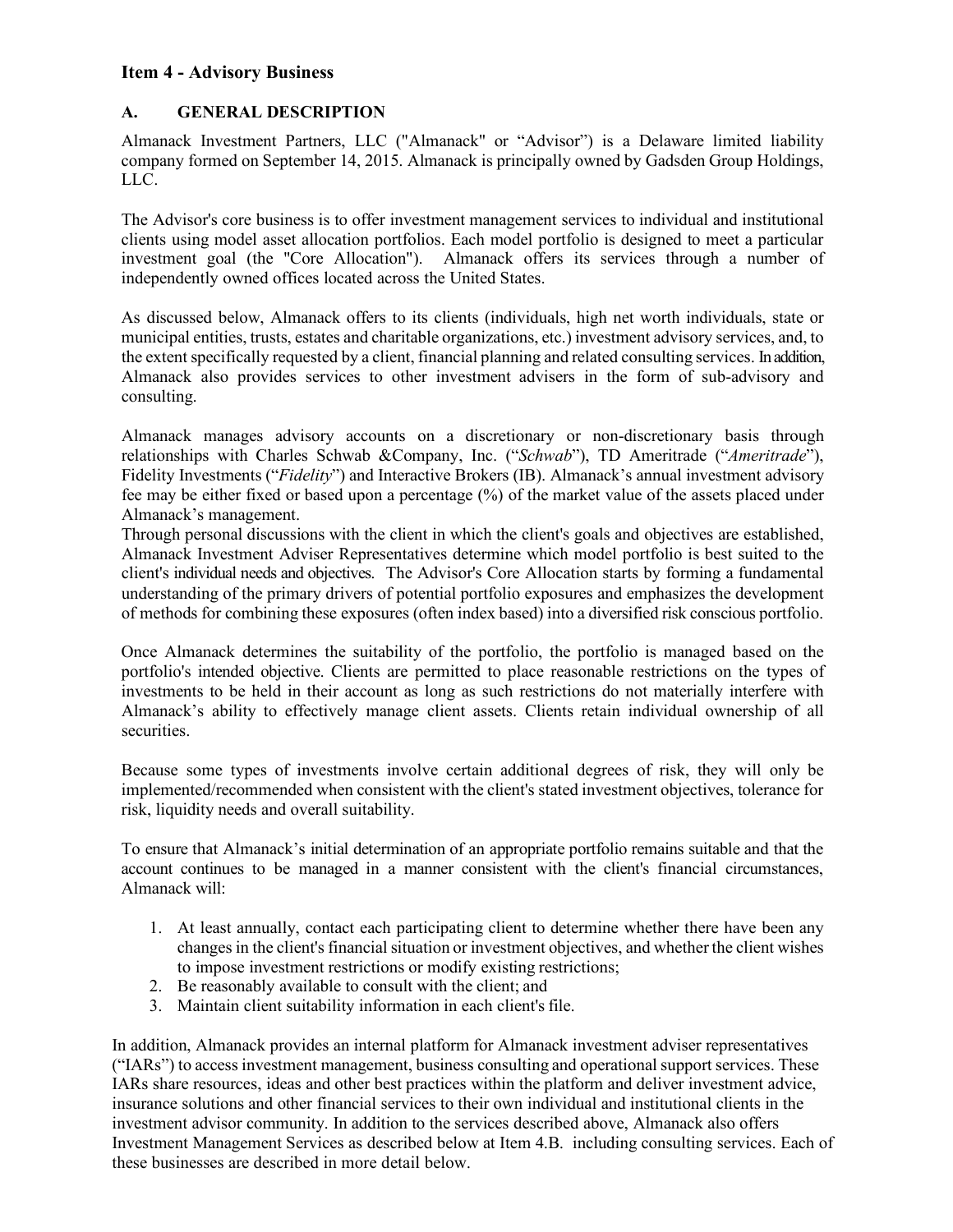## <span id="page-3-0"></span>**Item 4 - Advisory Business**

## **A. GENERAL DESCRIPTION**

Almanack Investment Partners, LLC ("Almanack" or "Advisor") is a Delaware limited liability company formed on September 14, 2015. Almanack is principally owned by Gadsden Group Holdings, LLC.

The Advisor's core business is to offer investment management services to individual and institutional clients using model asset allocation portfolios. Each model portfolio is designed to meet a particular investment goal (the "Core Allocation"). Almanack offers its services through a number of independently owned offices located across the United States.

As discussed below, Almanack offers to its clients (individuals, high net worth individuals, state or municipal entities, trusts, estates and charitable organizations, etc.) investment advisory services, and, to the extent specifically requested by a client, financial planning and related consulting services. In addition, Almanack also provides services to other investment advisers in the form of sub-advisory and consulting.

Almanack manages advisory accounts on a discretionary or non-discretionary basis through relationships with Charles Schwab &Company, Inc. ("*Schwab*"), TD Ameritrade ("*Ameritrade*"), Fidelity Investments ("*Fidelity*") and Interactive Brokers (IB). Almanack's annual investment advisory fee may be either fixed or based upon a percentage (%) of the market value of the assets placed under Almanack's management.

Through personal discussions with the client in which the client's goals and objectives are established, Almanack Investment Adviser Representatives determine which model portfolio is best suited to the client's individual needs and objectives. The Advisor's Core Allocation starts by forming a fundamental understanding of the primary drivers of potential portfolio exposures and emphasizes the development of methods for combining these exposures (often index based) into a diversified risk conscious portfolio.

Once Almanack determines the suitability of the portfolio, the portfolio is managed based on the portfolio's intended objective. Clients are permitted to place reasonable restrictions on the types of investments to be held in their account as long as such restrictions do not materially interfere with Almanack's ability to effectively manage client assets. Clients retain individual ownership of all securities.

Because some types of investments involve certain additional degrees of risk, they will only be implemented/recommended when consistent with the client's stated investment objectives, tolerance for risk, liquidity needs and overall suitability.

To ensure that Almanack's initial determination of an appropriate portfolio remains suitable and that the account continues to be managed in a manner consistent with the client's financial circumstances, Almanack will:

- 1. At least annually, contact each participating client to determine whether there have been any changes in the client's financial situation or investment objectives, and whether the client wishes to impose investment restrictions or modify existing restrictions;
- 2. Be reasonably available to consult with the client; and
- 3. Maintain client suitability information in each client's file.

In addition, Almanack provides an internal platform for Almanack investment adviser representatives ("IARs") to access investment management, business consulting and operational support services. These IARs share resources, ideas and other best practices within the platform and deliver investment advice, insurance solutions and other financial services to their own individual and institutional clients in the investment advisor community. In addition to the services described above, Almanack also offers Investment Management Services as described below at Item 4.B. including consulting services. Each of these businesses are described in more detail below.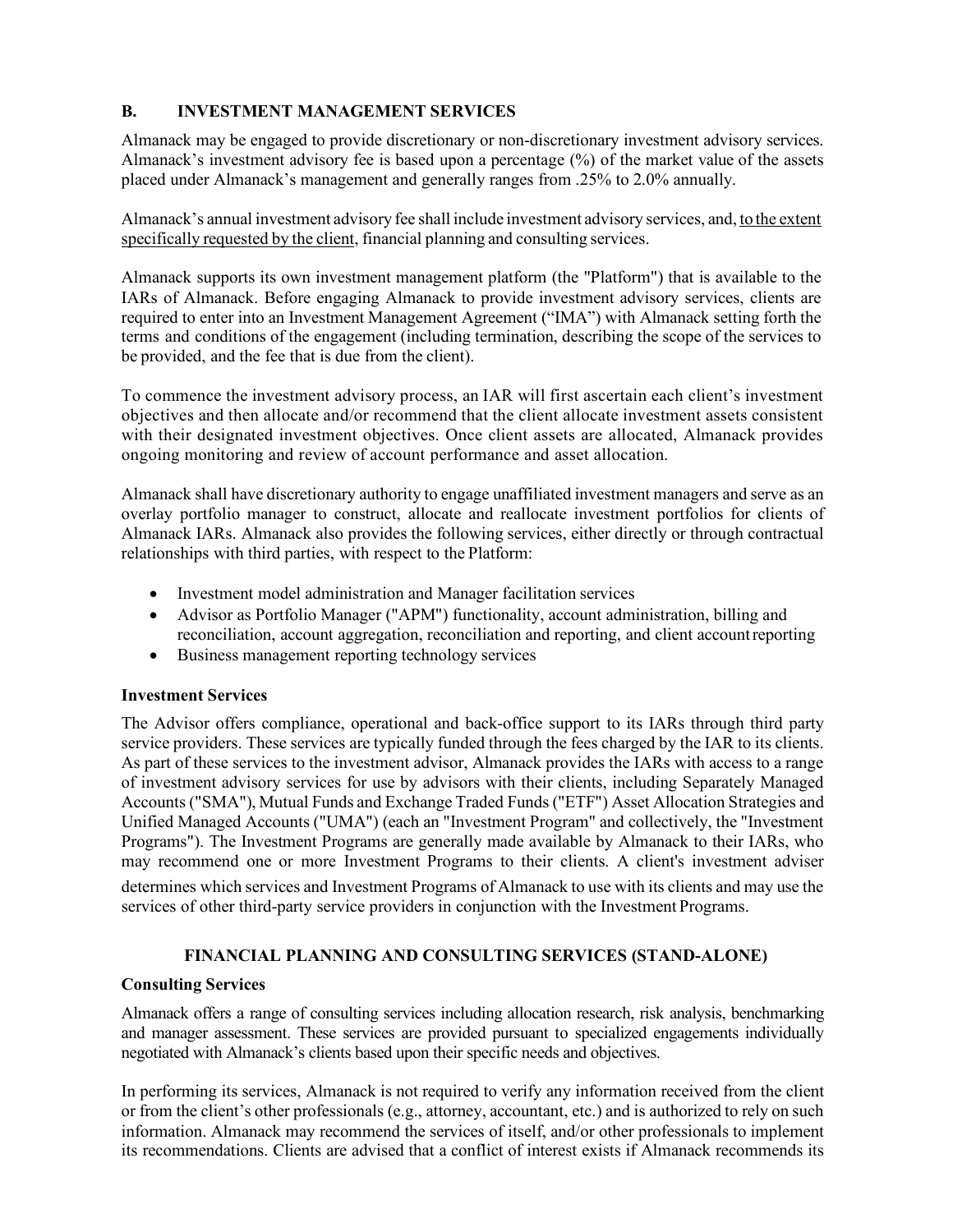## **B. INVESTMENT MANAGEMENT SERVICES**

Almanack may be engaged to provide discretionary or non-discretionary investment advisory services. Almanack's investment advisory fee is based upon a percentage (%) of the market value of the assets placed under Almanack's management and generally ranges from .25% to 2.0% annually.

Almanack's annual investment advisory fee shall include investment advisory services, and, to the extent specifically requested by the client, financial planning and consulting services.

Almanack supports its own investment management platform (the "Platform") that is available to the IARs of Almanack. Before engaging Almanack to provide investment advisory services, clients are required to enter into an Investment Management Agreement ("IMA") with Almanack setting forth the terms and conditions of the engagement (including termination, describing the scope of the services to be provided, and the fee that is due from the client).

To commence the investment advisory process, an IAR will first ascertain each client's investment objectives and then allocate and/or recommend that the client allocate investment assets consistent with their designated investment objectives. Once client assets are allocated, Almanack provides ongoing monitoring and review of account performance and asset allocation.

Almanack shall have discretionary authority to engage unaffiliated investment managers and serve as an overlay portfolio manager to construct, allocate and reallocate investment portfolios for clients of Almanack IARs. Almanack also provides the following services, either directly or through contractual relationships with third parties, with respect to the Platform:

- Investment model administration and Manager facilitation services
- Advisor as Portfolio Manager ("APM") functionality, account administration, billing and reconciliation, account aggregation, reconciliation and reporting, and client accountreporting
- Business management reporting technology services

#### **Investment Services**

The Advisor offers compliance, operational and back-office support to its IARs through third party service providers. These services are typically funded through the fees charged by the IAR to its clients. As part of these services to the investment advisor, Almanack provides the IARs with access to a range of investment advisory services for use by advisors with their clients, including Separately Managed Accounts ("SMA"), Mutual Funds and Exchange Traded Funds ("ETF") Asset Allocation Strategies and Unified Managed Accounts ("UMA") (each an "Investment Program" and collectively, the "Investment Programs"). The Investment Programs are generally made available by Almanack to their IARs, who may recommend one or more Investment Programs to their clients. A client's investment adviser determines which services and Investment Programs of Almanack to use with its clients and may use the

services of other third-party service providers in conjunction with the Investment Programs.

## **FINANCIAL PLANNING AND CONSULTING SERVICES (STAND-ALONE)**

#### **Consulting Services**

Almanack offers a range of consulting services including allocation research, risk analysis, benchmarking and manager assessment. These services are provided pursuant to specialized engagements individually negotiated with Almanack's clients based upon their specific needs and objectives.

In performing its services, Almanack is not required to verify any information received from the client or from the client's other professionals (e.g., attorney, accountant, etc.) and is authorized to rely on such information. Almanack may recommend the services of itself, and/or other professionals to implement its recommendations. Clients are advised that a conflict of interest exists if Almanack recommends its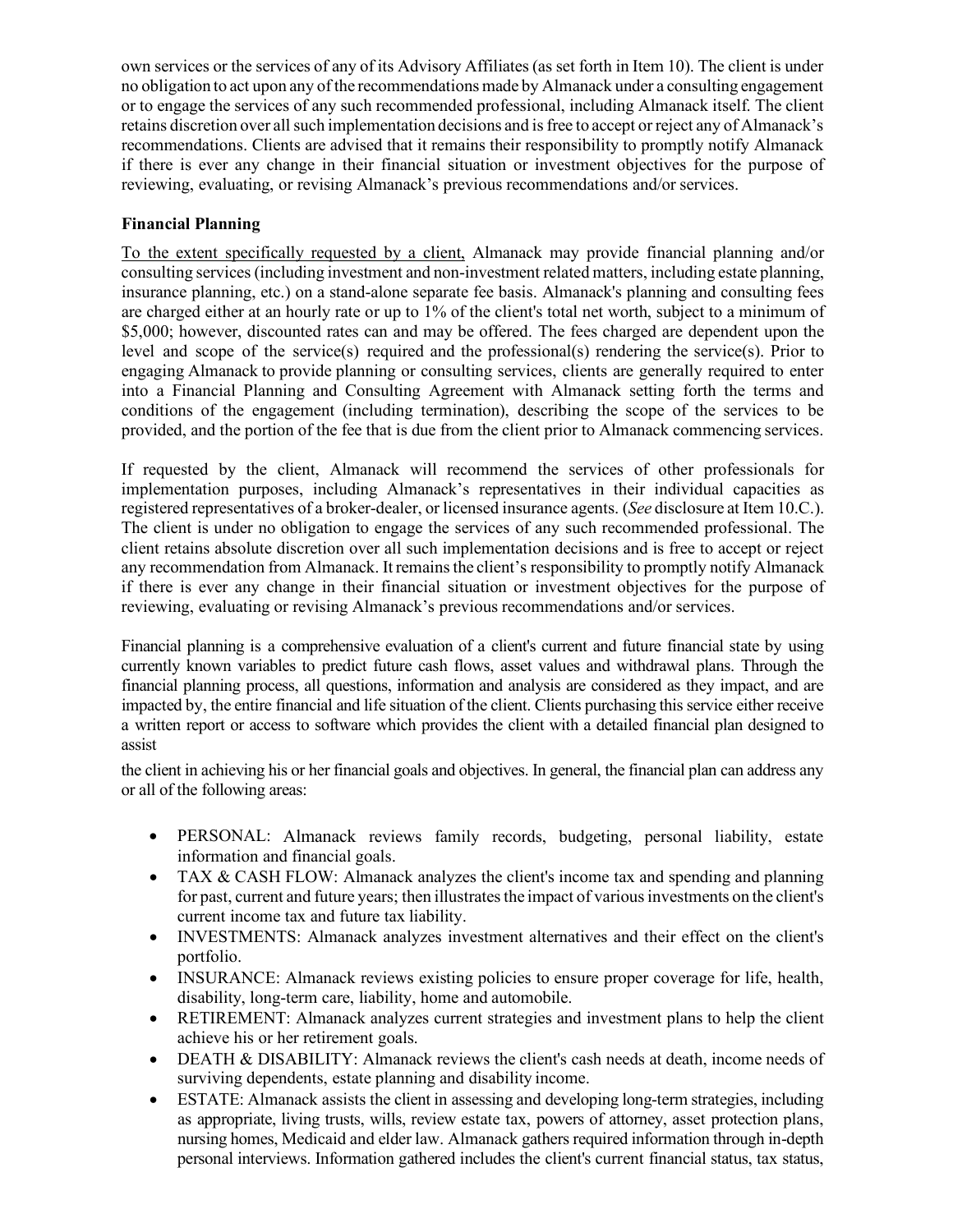own services or the services of any of its Advisory Affiliates (as set forth in Item 10). The client is under no obligation to act upon any of the recommendationsmade by Almanack under a consulting engagement or to engage the services of any such recommended professional, including Almanack itself. The client retains discretion over all such implementation decisions and is free to accept or reject any of Almanack's recommendations. Clients are advised that it remains their responsibility to promptly notify Almanack if there is ever any change in their financial situation or investment objectives for the purpose of reviewing, evaluating, or revising Almanack's previous recommendations and/or services.

## **Financial Planning**

To the extent specifically requested by a client, Almanack may provide financial planning and/or consulting services (including investment and non-investment related matters, including estate planning, insurance planning, etc.) on a stand-alone separate fee basis. Almanack's planning and consulting fees are charged either at an hourly rate or up to 1% of the client's total net worth, subject to a minimum of \$5,000; however, discounted rates can and may be offered. The fees charged are dependent upon the level and scope of the service(s) required and the professional(s) rendering the service(s). Prior to engaging Almanack to provide planning or consulting services, clients are generally required to enter into a Financial Planning and Consulting Agreement with Almanack setting forth the terms and conditions of the engagement (including termination), describing the scope of the services to be provided, and the portion of the fee that is due from the client prior to Almanack commencing services.

If requested by the client, Almanack will recommend the services of other professionals for implementation purposes, including Almanack's representatives in their individual capacities as registered representatives of a broker-dealer, or licensed insurance agents. (*See* disclosure at Item 10.C.). The client is under no obligation to engage the services of any such recommended professional. The client retains absolute discretion over all such implementation decisions and is free to accept or reject any recommendation from Almanack. It remains the client's responsibility to promptly notify Almanack if there is ever any change in their financial situation or investment objectives for the purpose of reviewing, evaluating or revising Almanack's previous recommendations and/or services.

Financial planning is a comprehensive evaluation of a client's current and future financial state by using currently known variables to predict future cash flows, asset values and withdrawal plans. Through the financial planning process, all questions, information and analysis are considered as they impact, and are impacted by, the entire financial and life situation of the client. Clients purchasing this service either receive a written report or access to software which provides the client with a detailed financial plan designed to assist

the client in achieving his or her financial goals and objectives. In general, the financial plan can address any or all of the following areas:

- PERSONAL: Almanack reviews family records, budgeting, personal liability, estate information and financial goals.
- TAX & CASH FLOW: Almanack analyzes the client's income tax and spending and planning for past, current and future years; then illustrates the impact of various investments on the client's current income tax and future tax liability.
- INVESTMENTS: Almanack analyzes investment alternatives and their effect on the client's portfolio.
- INSURANCE: Almanack reviews existing policies to ensure proper coverage for life, health, disability, long-term care, liability, home and automobile.
- RETIREMENT: Almanack analyzes current strategies and investment plans to help the client achieve his or her retirement goals.
- DEATH & DISABILITY: Almanack reviews the client's cash needs at death, income needs of surviving dependents, estate planning and disability income.
- ESTATE: Almanack assists the client in assessing and developing long-term strategies, including as appropriate, living trusts, wills, review estate tax, powers of attorney, asset protection plans, nursing homes, Medicaid and elder law. Almanack gathers required information through in-depth personal interviews. Information gathered includes the client's current financial status, tax status,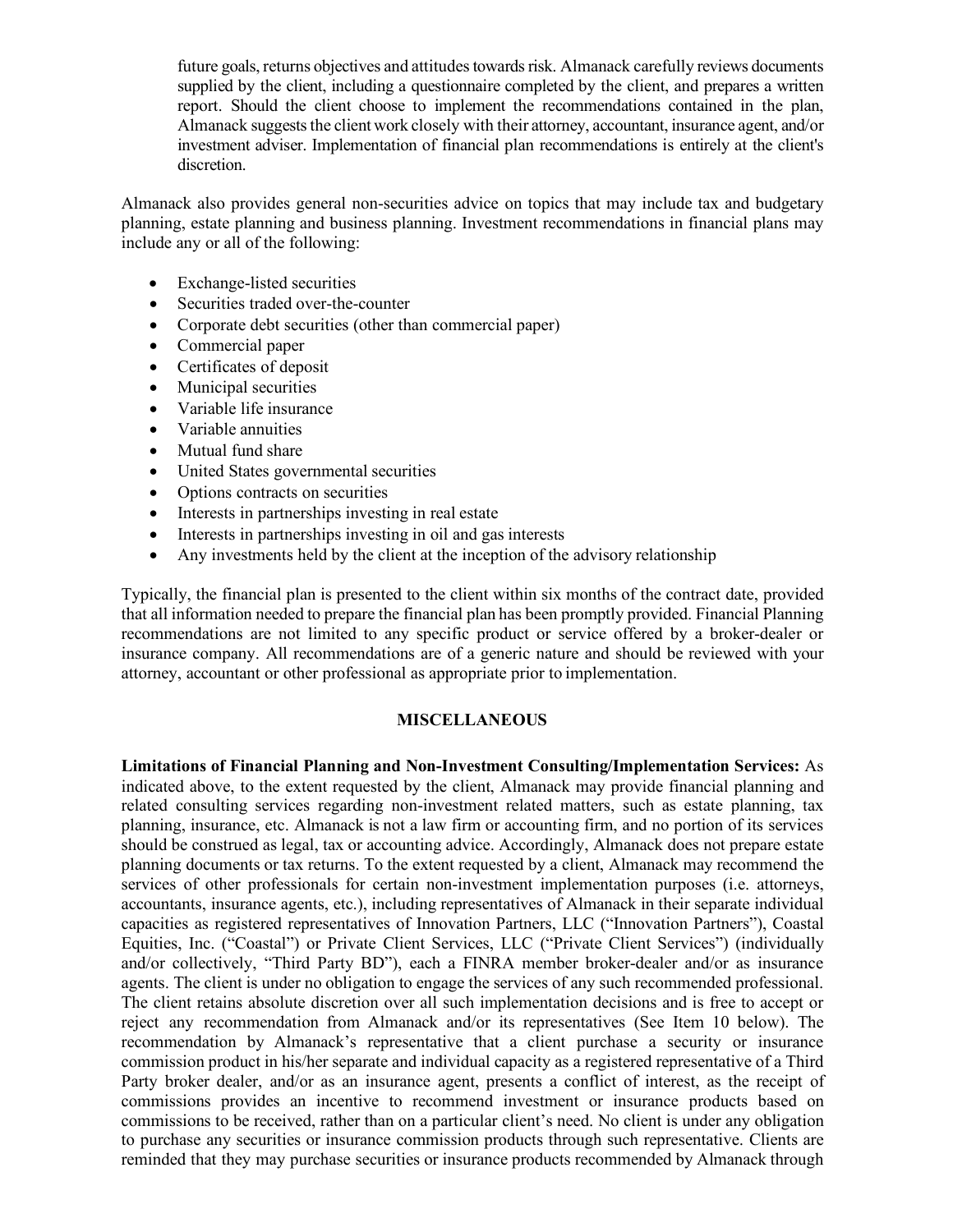future goals, returns objectives and attitudes towards risk. Almanack carefully reviews documents supplied by the client, including a questionnaire completed by the client, and prepares a written report. Should the client choose to implement the recommendations contained in the plan, Almanack suggests the client work closely with their attorney, accountant, insurance agent, and/or investment adviser. Implementation of financial plan recommendations is entirely at the client's discretion.

Almanack also provides general non-securities advice on topics that may include tax and budgetary planning, estate planning and business planning. Investment recommendations in financial plans may include any or all of the following:

- Exchange-listed securities
- Securities traded over-the-counter
- Corporate debt securities (other than commercial paper)
- Commercial paper
- Certificates of deposit
- Municipal securities
- Variable life insurance
- Variable annuities
- Mutual fund share
- United States governmental securities
- Options contracts on securities
- Interests in partnerships investing in real estate
- Interests in partnerships investing in oil and gas interests
- Any investments held by the client at the inception of the advisory relationship

Typically, the financial plan is presented to the client within six months of the contract date, provided that all information needed to prepare the financial plan has been promptly provided. Financial Planning recommendations are not limited to any specific product or service offered by a broker-dealer or insurance company. All recommendations are of a generic nature and should be reviewed with your attorney, accountant or other professional as appropriate prior to implementation.

#### **MISCELLANEOUS**

**Limitations of Financial Planning and Non-Investment Consulting/Implementation Services:** As indicated above, to the extent requested by the client, Almanack may provide financial planning and related consulting services regarding non-investment related matters, such as estate planning, tax planning, insurance, etc. Almanack is not a law firm or accounting firm, and no portion of its services should be construed as legal, tax or accounting advice. Accordingly, Almanack does not prepare estate planning documents or tax returns. To the extent requested by a client, Almanack may recommend the services of other professionals for certain non-investment implementation purposes (i.e. attorneys, accountants, insurance agents, etc.), including representatives of Almanack in their separate individual capacities as registered representatives of Innovation Partners, LLC ("Innovation Partners"), Coastal Equities, Inc. ("Coastal") or Private Client Services, LLC ("Private Client Services") (individually and/or collectively, "Third Party BD"), each a FINRA member broker-dealer and/or as insurance agents. The client is under no obligation to engage the services of any such recommended professional. The client retains absolute discretion over all such implementation decisions and is free to accept or reject any recommendation from Almanack and/or its representatives (See Item 10 below). The recommendation by Almanack's representative that a client purchase a security or insurance commission product in his/her separate and individual capacity as a registered representative of a Third Party broker dealer, and/or as an insurance agent, presents a conflict of interest, as the receipt of commissions provides an incentive to recommend investment or insurance products based on commissions to be received, rather than on a particular client's need. No client is under any obligation to purchase any securities or insurance commission products through such representative. Clients are reminded that they may purchase securities or insurance products recommended by Almanack through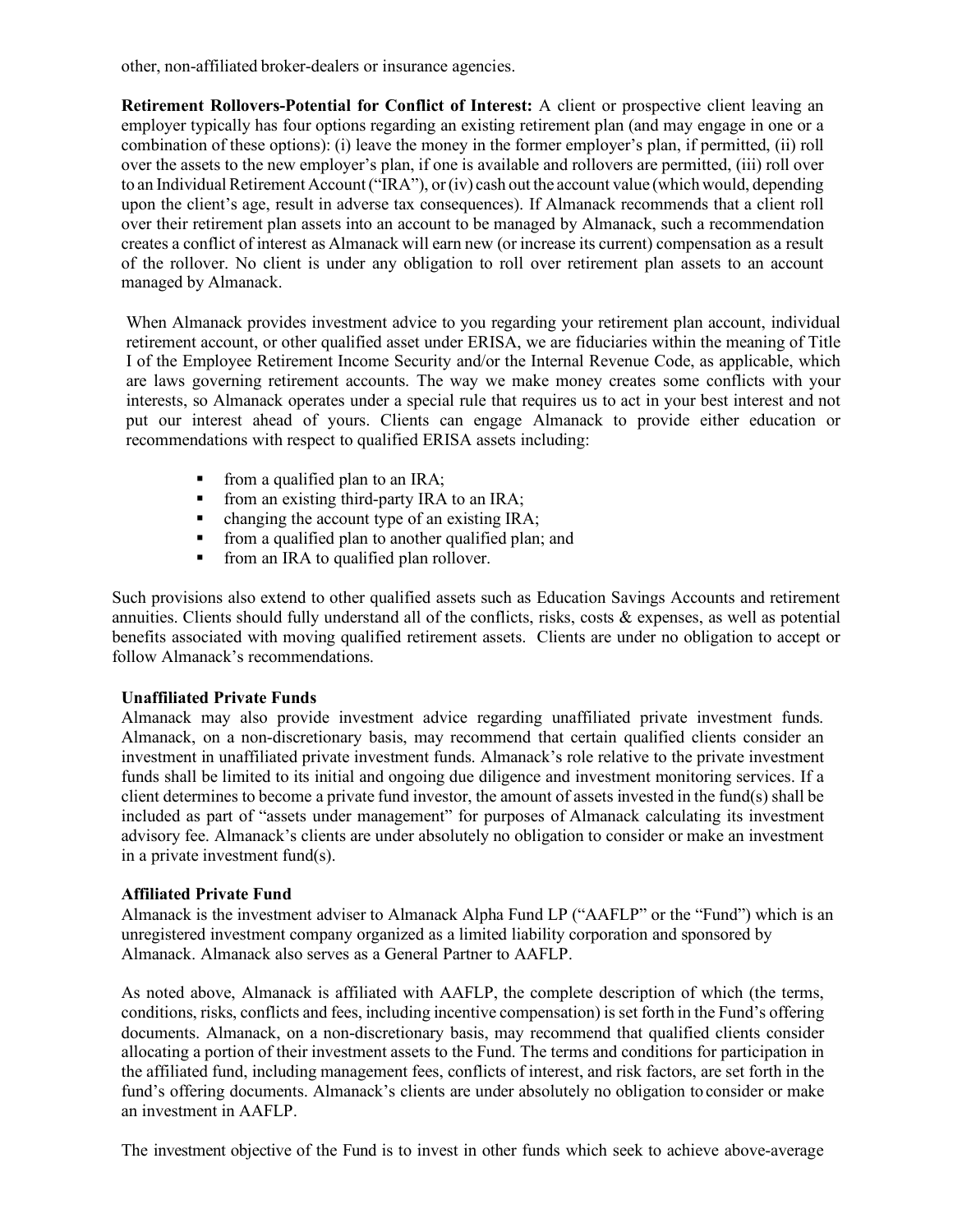other, non-affiliated broker-dealers or insurance agencies.

**Retirement Rollovers-Potential for Conflict of Interest:** A client or prospective client leaving an employer typically has four options regarding an existing retirement plan (and may engage in one or a combination of these options): (i) leave the money in the former employer's plan, if permitted, (ii) roll over the assets to the new employer's plan, if one is available and rollovers are permitted, (iii) roll over to an Individual Retirement Account ("IRA"), or (iv) cash out the account value (which would, depending upon the client's age, result in adverse tax consequences). If Almanack recommends that a client roll over their retirement plan assets into an account to be managed by Almanack, such a recommendation creates a conflict of interest as Almanack will earn new (or increase its current) compensation as a result of the rollover. No client is under any obligation to roll over retirement plan assets to an account managed by Almanack.

When Almanack provides investment advice to you regarding your retirement plan account, individual retirement account, or other qualified asset under ERISA, we are fiduciaries within the meaning of Title I of the Employee Retirement Income Security and/or the Internal Revenue Code, as applicable, which are laws governing retirement accounts. The way we make money creates some conflicts with your interests, so Almanack operates under a special rule that requires us to act in your best interest and not put our interest ahead of yours. Clients can engage Almanack to provide either education or recommendations with respect to qualified ERISA assets including:

- **from a qualified plan to an IRA;**
- **from an existing third-party IRA to an IRA;**
- changing the account type of an existing IRA;
- from a qualified plan to another qualified plan; and
- from an IRA to qualified plan rollover.

Such provisions also extend to other qualified assets such as Education Savings Accounts and retirement annuities. Clients should fully understand all of the conflicts, risks, costs & expenses, as well as potential benefits associated with moving qualified retirement assets. Clients are under no obligation to accept or follow Almanack's recommendations.

#### **Unaffiliated Private Funds**

Almanack may also provide investment advice regarding unaffiliated private investment funds. Almanack, on a non-discretionary basis, may recommend that certain qualified clients consider an investment in unaffiliated private investment funds. Almanack's role relative to the private investment funds shall be limited to its initial and ongoing due diligence and investment monitoring services. If a client determines to become a private fund investor, the amount of assets invested in the fund(s) shall be included as part of "assets under management" for purposes of Almanack calculating its investment advisory fee. Almanack's clients are under absolutely no obligation to consider or make an investment in a private investment fund(s).

#### **Affiliated Private Fund**

Almanack is the investment adviser to Almanack Alpha Fund LP ("AAFLP" or the "Fund") which is an unregistered investment company organized as a limited liability corporation and sponsored by Almanack. Almanack also serves as a General Partner to AAFLP.

As noted above, Almanack is affiliated with AAFLP, the complete description of which (the terms, conditions, risks, conflicts and fees, including incentive compensation) is set forth in the Fund's offering documents. Almanack, on a non-discretionary basis, may recommend that qualified clients consider allocating a portion of their investment assets to the Fund. The terms and conditions for participation in the affiliated fund, including management fees, conflicts of interest, and risk factors, are set forth in the fund's offering documents. Almanack's clients are under absolutely no obligation to consider or make an investment in AAFLP.

The investment objective of the Fund is to invest in other funds which seek to achieve above-average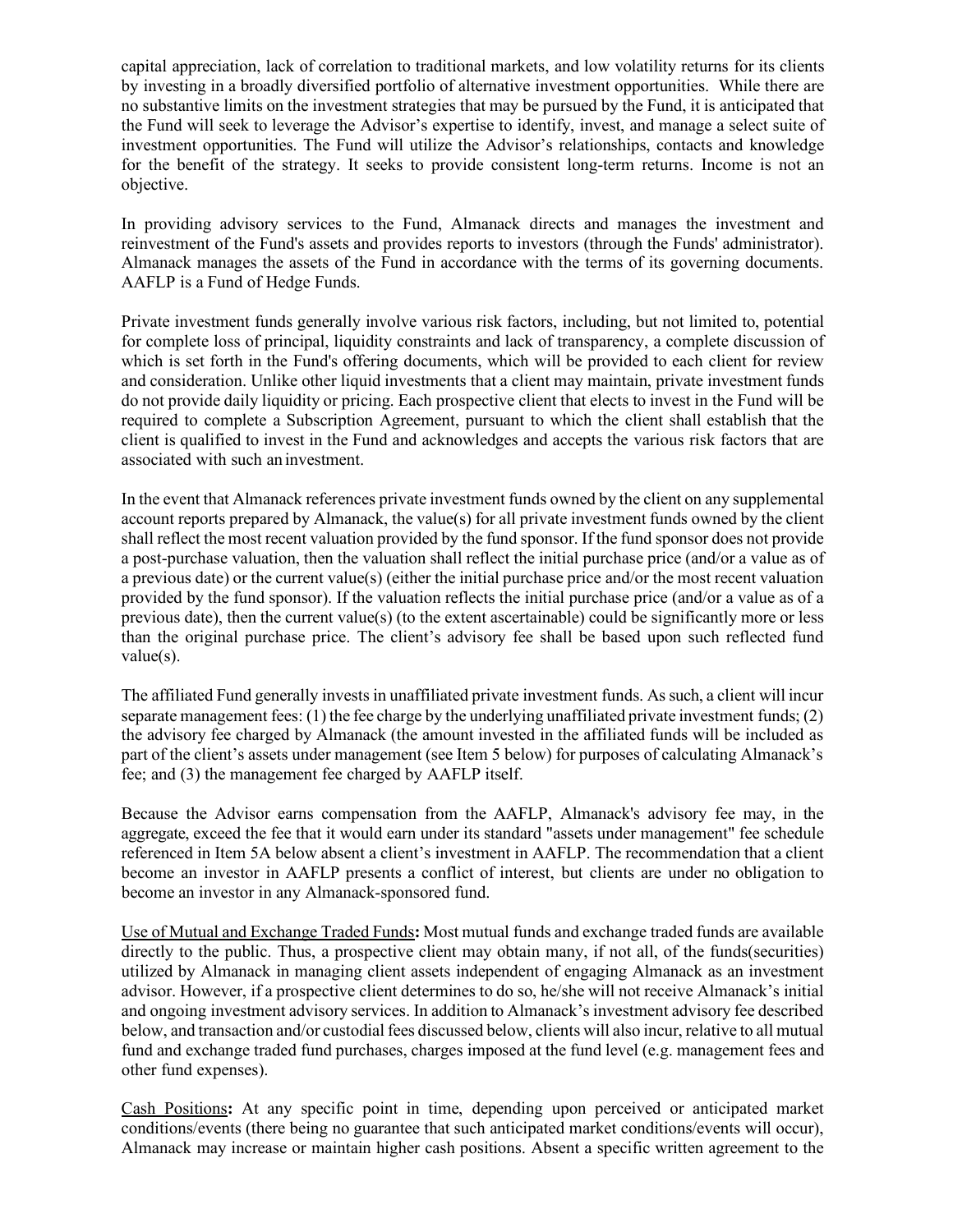capital appreciation, lack of correlation to traditional markets, and low volatility returns for its clients by investing in a broadly diversified portfolio of alternative investment opportunities. While there are no substantive limits on the investment strategies that may be pursued by the Fund, it is anticipated that the Fund will seek to leverage the Advisor's expertise to identify, invest, and manage a select suite of investment opportunities. The Fund will utilize the Advisor's relationships, contacts and knowledge for the benefit of the strategy. It seeks to provide consistent long-term returns. Income is not an objective.

In providing advisory services to the Fund, Almanack directs and manages the investment and reinvestment of the Fund's assets and provides reports to investors (through the Funds' administrator). Almanack manages the assets of the Fund in accordance with the terms of its governing documents. AAFLP is a Fund of Hedge Funds.

Private investment funds generally involve various risk factors, including, but not limited to, potential for complete loss of principal, liquidity constraints and lack of transparency, a complete discussion of which is set forth in the Fund's offering documents, which will be provided to each client for review and consideration. Unlike other liquid investments that a client may maintain, private investment funds do not provide daily liquidity or pricing. Each prospective client that elects to invest in the Fund will be required to complete a Subscription Agreement, pursuant to which the client shall establish that the client is qualified to invest in the Fund and acknowledges and accepts the various risk factors that are associated with such an investment.

In the event that Almanack references private investment funds owned by the client on any supplemental account reports prepared by Almanack, the value(s) for all private investment funds owned by the client shall reflect the most recent valuation provided by the fund sponsor. If the fund sponsor does not provide a post-purchase valuation, then the valuation shall reflect the initial purchase price (and/or a value as of a previous date) or the current value(s) (either the initial purchase price and/or the most recent valuation provided by the fund sponsor). If the valuation reflects the initial purchase price (and/or a value as of a previous date), then the current value(s) (to the extent ascertainable) could be significantly more or less than the original purchase price. The client's advisory fee shall be based upon such reflected fund value(s).

The affiliated Fund generally invests in unaffiliated private investment funds. As such, a client will incur separate management fees: (1) the fee charge by the underlying unaffiliated private investment funds; (2) the advisory fee charged by Almanack (the amount invested in the affiliated funds will be included as part of the client's assets under management (see Item 5 below) for purposes of calculating Almanack's fee; and (3) the management fee charged by AAFLP itself.

Because the Advisor earns compensation from the AAFLP, Almanack's advisory fee may, in the aggregate, exceed the fee that it would earn under its standard "assets under management" fee schedule referenced in Item 5A below absent a client's investment in AAFLP. The recommendation that a client become an investor in AAFLP presents a conflict of interest, but clients are under no obligation to become an investor in any Almanack-sponsored fund.

Use of Mutual and Exchange Traded Funds**:** Most mutual funds and exchange traded funds are available directly to the public. Thus, a prospective client may obtain many, if not all, of the funds(securities) utilized by Almanack in managing client assets independent of engaging Almanack as an investment advisor. However, if a prospective client determines to do so, he/she will not receive Almanack's initial and ongoing investment advisory services. In addition to Almanack's investment advisory fee described below, and transaction and/or custodial fees discussed below, clients will also incur, relative to all mutual fund and exchange traded fund purchases, charges imposed at the fund level (e.g. management fees and other fund expenses).

Cash Positions**:** At any specific point in time, depending upon perceived or anticipated market conditions/events (there being no guarantee that such anticipated market conditions/events will occur), Almanack may increase or maintain higher cash positions. Absent a specific written agreement to the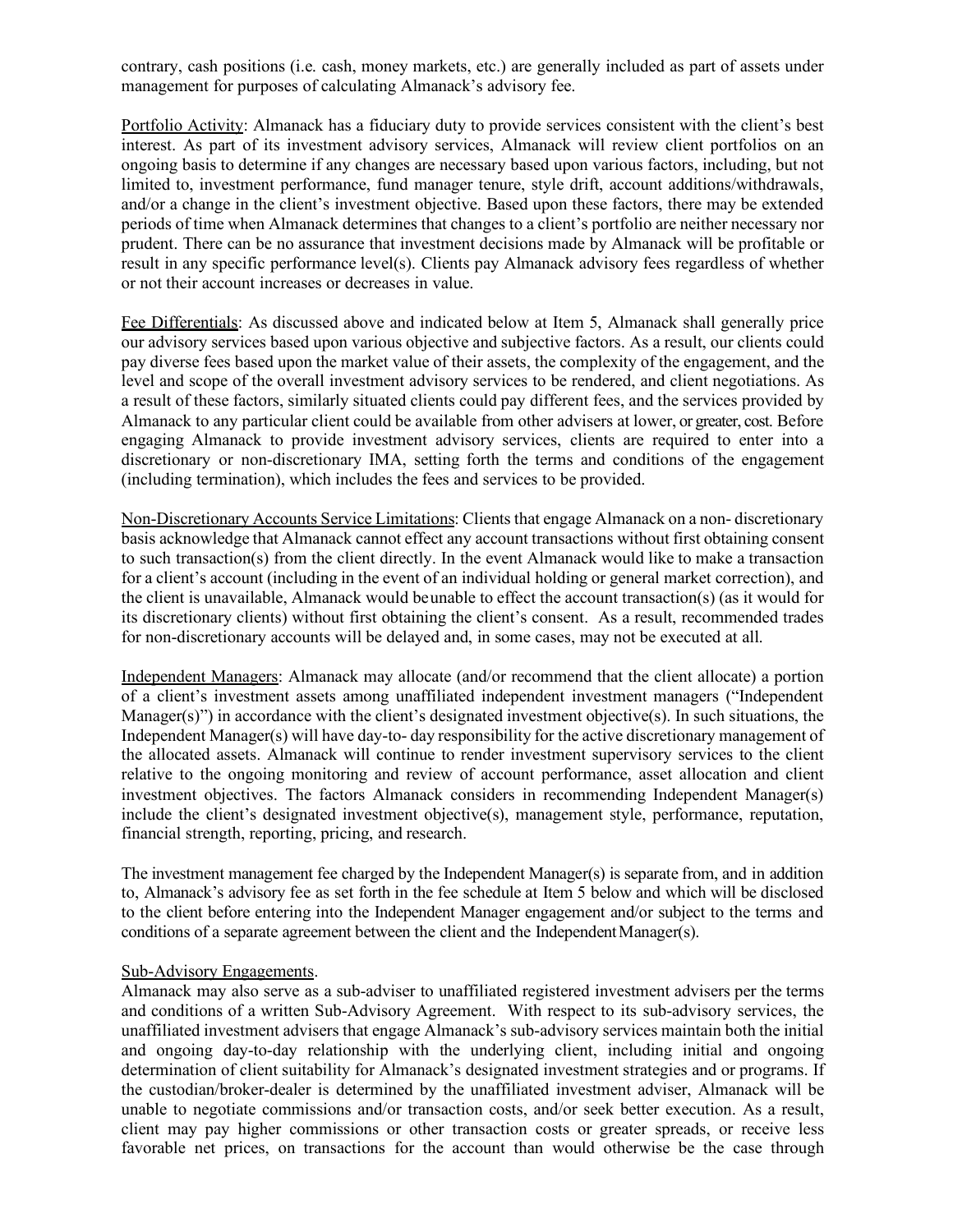contrary, cash positions (i.e. cash, money markets, etc.) are generally included as part of assets under management for purposes of calculating Almanack's advisory fee.

Portfolio Activity: Almanack has a fiduciary duty to provide services consistent with the client's best interest. As part of its investment advisory services, Almanack will review client portfolios on an ongoing basis to determine if any changes are necessary based upon various factors, including, but not limited to, investment performance, fund manager tenure, style drift, account additions/withdrawals, and/or a change in the client's investment objective. Based upon these factors, there may be extended periods of time when Almanack determines that changes to a client's portfolio are neither necessary nor prudent. There can be no assurance that investment decisions made by Almanack will be profitable or result in any specific performance level(s). Clients pay Almanack advisory fees regardless of whether or not their account increases or decreases in value.

Fee Differentials: As discussed above and indicated below at Item 5, Almanack shall generally price our advisory services based upon various objective and subjective factors. As a result, our clients could pay diverse fees based upon the market value of their assets, the complexity of the engagement, and the level and scope of the overall investment advisory services to be rendered, and client negotiations. As a result of these factors, similarly situated clients could pay different fees, and the services provided by Almanack to any particular client could be available from other advisers at lower, or greater, cost. Before engaging Almanack to provide investment advisory services, clients are required to enter into a discretionary or non-discretionary IMA, setting forth the terms and conditions of the engagement (including termination), which includes the fees and services to be provided.

Non-Discretionary Accounts Service Limitations: Clients that engage Almanack on a non- discretionary basis acknowledge that Almanack cannot effect any account transactions without first obtaining consent to such transaction(s) from the client directly. In the event Almanack would like to make a transaction for a client's account (including in the event of an individual holding or general market correction), and the client is unavailable, Almanack would beunable to effect the account transaction(s) (as it would for its discretionary clients) without first obtaining the client's consent. As a result, recommended trades for non-discretionary accounts will be delayed and, in some cases, may not be executed at all.

Independent Managers: Almanack may allocate (and/or recommend that the client allocate) a portion of a client's investment assets among unaffiliated independent investment managers ("Independent Manager(s)") in accordance with the client's designated investment objective(s). In such situations, the Independent Manager(s) will have day-to- day responsibility for the active discretionary management of the allocated assets. Almanack will continue to render investment supervisory services to the client relative to the ongoing monitoring and review of account performance, asset allocation and client investment objectives. The factors Almanack considers in recommending Independent Manager(s) include the client's designated investment objective(s), management style, performance, reputation, financial strength, reporting, pricing, and research.

The investment management fee charged by the Independent Manager(s) is separate from, and in addition to, Almanack's advisory fee as set forth in the fee schedule at Item 5 below and which will be disclosed to the client before entering into the Independent Manager engagement and/or subject to the terms and conditions of a separate agreement between the client and the Independent Manager(s).

#### Sub-Advisory Engagements.

Almanack may also serve as a sub-adviser to unaffiliated registered investment advisers per the terms and conditions of a written Sub-Advisory Agreement. With respect to its sub-advisory services, the unaffiliated investment advisers that engage Almanack's sub-advisory services maintain both the initial and ongoing day-to-day relationship with the underlying client, including initial and ongoing determination of client suitability for Almanack's designated investment strategies and or programs. If the custodian/broker-dealer is determined by the unaffiliated investment adviser, Almanack will be unable to negotiate commissions and/or transaction costs, and/or seek better execution. As a result, client may pay higher commissions or other transaction costs or greater spreads, or receive less favorable net prices, on transactions for the account than would otherwise be the case through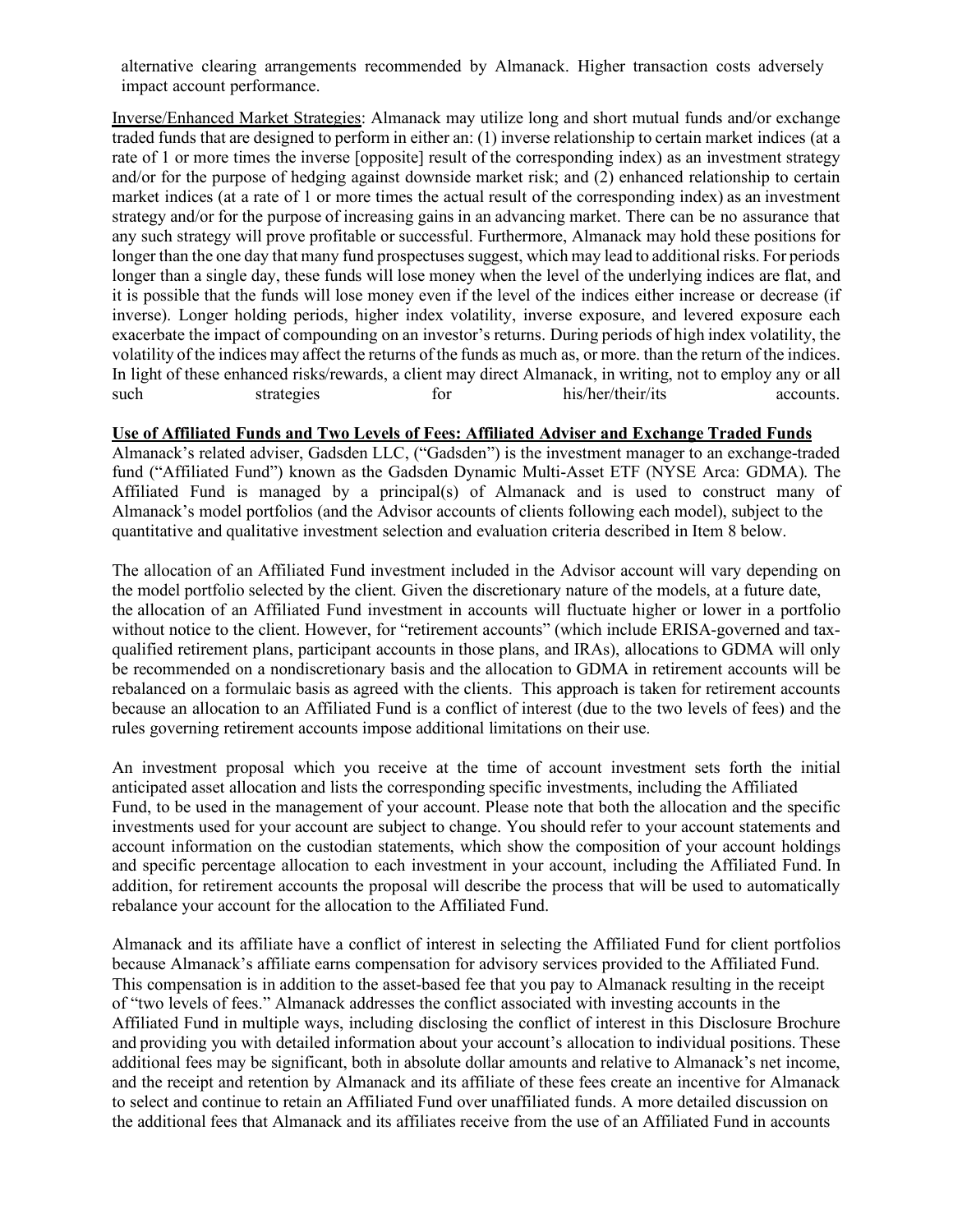alternative clearing arrangements recommended by Almanack. Higher transaction costs adversely impact account performance.

Inverse/Enhanced Market Strategies: Almanack may utilize long and short mutual funds and/or exchange traded funds that are designed to perform in either an: (1) inverse relationship to certain market indices (at a rate of 1 or more times the inverse [opposite] result of the corresponding index) as an investment strategy and/or for the purpose of hedging against downside market risk; and (2) enhanced relationship to certain market indices (at a rate of 1 or more times the actual result of the corresponding index) as an investment strategy and/or for the purpose of increasing gains in an advancing market. There can be no assurance that any such strategy will prove profitable or successful. Furthermore, Almanack may hold these positions for longer than the one day that many fund prospectuses suggest, which may lead to additional risks. For periods longer than a single day, these funds will lose money when the level of the underlying indices are flat, and it is possible that the funds will lose money even if the level of the indices either increase or decrease (if inverse). Longer holding periods, higher index volatility, inverse exposure, and levered exposure each exacerbate the impact of compounding on an investor's returns. During periods of high index volatility, the volatility of the indices may affect the returns of the funds as much as, or more. than the return of the indices. In light of these enhanced risks/rewards, a client may direct Almanack, in writing, not to employ any or all such strategies for his/her/their/its accounts.

#### **Use of Affiliated Funds and Two Levels of Fees: Affiliated Adviser and Exchange Traded Funds**

Almanack's related adviser, Gadsden LLC, ("Gadsden") is the investment manager to an exchange-traded fund ("Affiliated Fund") known as the Gadsden Dynamic Multi-Asset ETF (NYSE Arca: GDMA). The Affiliated Fund is managed by a principal(s) of Almanack and is used to construct many of Almanack's model portfolios (and the Advisor accounts of clients following each model), subject to the quantitative and qualitative investment selection and evaluation criteria described in Item 8 below.

The allocation of an Affiliated Fund investment included in the Advisor account will vary depending on the model portfolio selected by the client. Given the discretionary nature of the models, at a future date, the allocation of an Affiliated Fund investment in accounts will fluctuate higher or lower in a portfolio without notice to the client. However, for "retirement accounts" (which include ERISA-governed and taxqualified retirement plans, participant accounts in those plans, and IRAs), allocations to GDMA will only be recommended on a nondiscretionary basis and the allocation to GDMA in retirement accounts will be rebalanced on a formulaic basis as agreed with the clients. This approach is taken for retirement accounts because an allocation to an Affiliated Fund is a conflict of interest (due to the two levels of fees) and the rules governing retirement accounts impose additional limitations on their use.

An investment proposal which you receive at the time of account investment sets forth the initial anticipated asset allocation and lists the corresponding specific investments, including the Affiliated Fund, to be used in the management of your account. Please note that both the allocation and the specific investments used for your account are subject to change. You should refer to your account statements and account information on the custodian statements, which show the composition of your account holdings and specific percentage allocation to each investment in your account, including the Affiliated Fund. In addition, for retirement accounts the proposal will describe the process that will be used to automatically rebalance your account for the allocation to the Affiliated Fund.

Almanack and its affiliate have a conflict of interest in selecting the Affiliated Fund for client portfolios because Almanack's affiliate earns compensation for advisory services provided to the Affiliated Fund. This compensation is in addition to the asset-based fee that you pay to Almanack resulting in the receipt of "two levels of fees." Almanack addresses the conflict associated with investing accounts in the Affiliated Fund in multiple ways, including disclosing the conflict of interest in this Disclosure Brochure and providing you with detailed information about your account's allocation to individual positions. These additional fees may be significant, both in absolute dollar amounts and relative to Almanack's net income, and the receipt and retention by Almanack and its affiliate of these fees create an incentive for Almanack to select and continue to retain an Affiliated Fund over unaffiliated funds. A more detailed discussion on the additional fees that Almanack and its affiliates receive from the use of an Affiliated Fund in accounts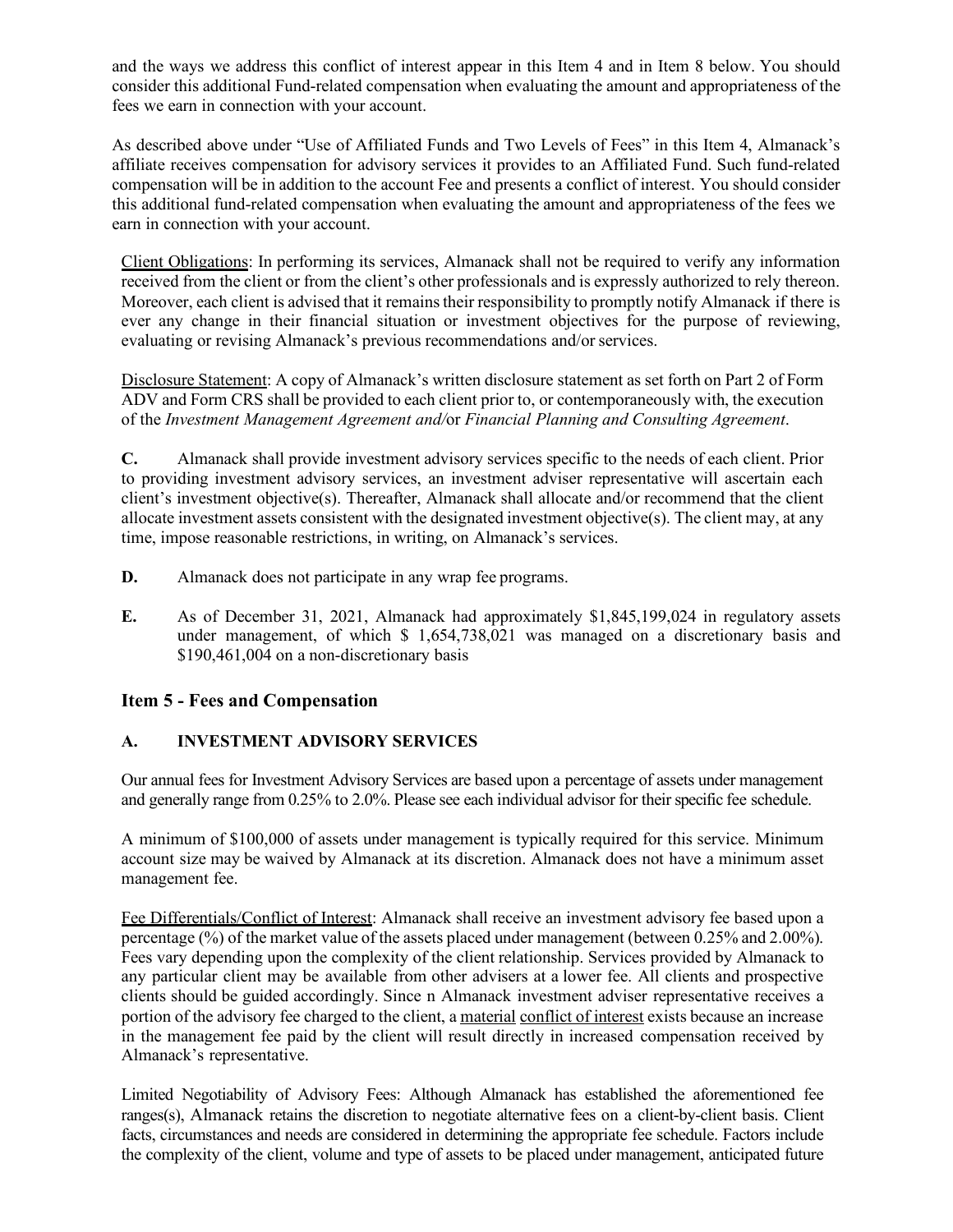and the ways we address this conflict of interest appear in this Item 4 and in Item 8 below. You should consider this additional Fund-related compensation when evaluating the amount and appropriateness of the fees we earn in connection with your account.

As described above under "Use of Affiliated Funds and Two Levels of Fees" in this Item 4, Almanack's affiliate receives compensation for advisory services it provides to an Affiliated Fund. Such fund-related compensation will be in addition to the account Fee and presents a conflict of interest. You should consider this additional fund-related compensation when evaluating the amount and appropriateness of the fees we earn in connection with your account.

Client Obligations: In performing its services, Almanack shall not be required to verify any information received from the client or from the client's other professionals and is expressly authorized to rely thereon. Moreover, each client is advised that it remains their responsibility to promptly notify Almanack if there is ever any change in their financial situation or investment objectives for the purpose of reviewing, evaluating or revising Almanack's previous recommendations and/or services.

Disclosure Statement: A copy of Almanack's written disclosure statement as set forth on Part 2 of Form ADV and Form CRS shall be provided to each client prior to, or contemporaneously with, the execution of the *Investment Management Agreement and/*or *Financial Planning and Consulting Agreement*.

**C.** Almanack shall provide investment advisory services specific to the needs of each client. Prior to providing investment advisory services, an investment adviser representative will ascertain each client's investment objective(s). Thereafter, Almanack shall allocate and/or recommend that the client allocate investment assets consistent with the designated investment objective(s). The client may, at any time, impose reasonable restrictions, in writing, on Almanack's services.

- **D.** Almanack does not participate in any wrap fee programs.
- **E.** As of December 31, 2021, Almanack had approximately \$1,845,199,024 in regulatory assets under management, of which \$ 1,654,738,021 was managed on a discretionary basis and \$190,461,004 on a non-discretionary basis

## **Item 5 - Fees and Compensation**

## **A. INVESTMENT ADVISORY SERVICES**

Our annual fees for Investment Advisory Services are based upon a percentage of assets under management and generally range from 0.25% to 2.0%. Please see each individual advisor for their specific fee schedule.

A minimum of \$100,000 of assets under management is typically required for this service. Minimum account size may be waived by Almanack at its discretion. Almanack does not have a minimum asset management fee.

Fee Differentials/Conflict of Interest: Almanack shall receive an investment advisory fee based upon a percentage (%) of the market value of the assets placed under management (between 0.25% and 2.00%). Fees vary depending upon the complexity of the client relationship. Services provided by Almanack to any particular client may be available from other advisers at a lower fee. All clients and prospective clients should be guided accordingly. Since n Almanack investment adviser representative receives a portion of the advisory fee charged to the client, a material conflict of interest exists because an increase in the management fee paid by the client will result directly in increased compensation received by Almanack's representative.

Limited Negotiability of Advisory Fees: Although Almanack has established the aforementioned fee ranges(s), Almanack retains the discretion to negotiate alternative fees on a client-by-client basis. Client facts, circumstances and needs are considered in determining the appropriate fee schedule. Factors include the complexity of the client, volume and type of assets to be placed under management, anticipated future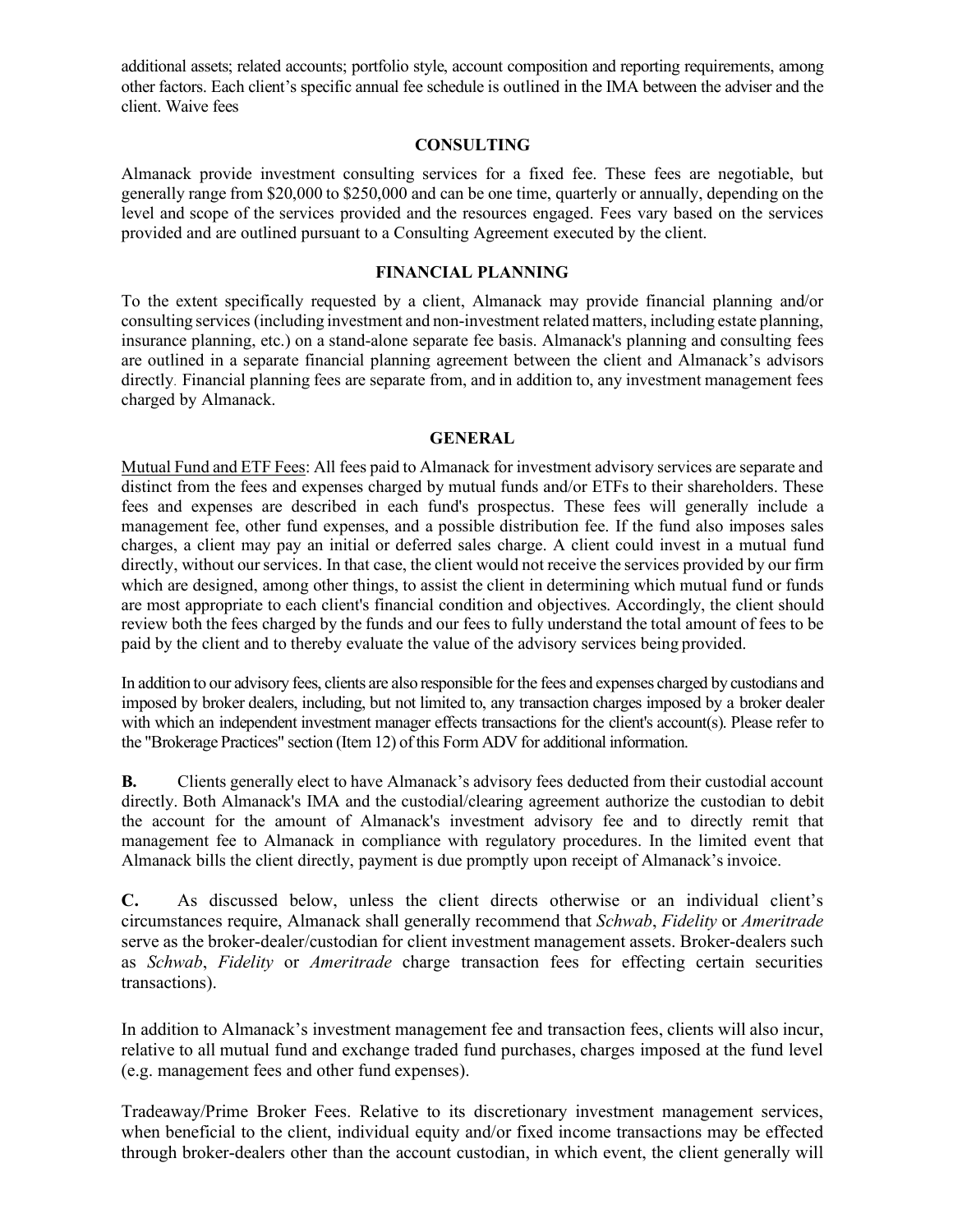additional assets; related accounts; portfolio style, account composition and reporting requirements, among other factors. Each client's specific annual fee schedule is outlined in the IMA between the adviser and the client. Waive fees

#### **CONSULTING**

Almanack provide investment consulting services for a fixed fee. These fees are negotiable, but generally range from \$20,000 to \$250,000 and can be one time, quarterly or annually, depending on the level and scope of the services provided and the resources engaged. Fees vary based on the services provided and are outlined pursuant to a Consulting Agreement executed by the client.

#### **FINANCIAL PLANNING**

To the extent specifically requested by a client, Almanack may provide financial planning and/or consulting services (including investment and non-investment related matters, including estate planning, insurance planning, etc.) on a stand-alone separate fee basis. Almanack's planning and consulting fees are outlined in a separate financial planning agreement between the client and Almanack's advisors directly. Financial planning fees are separate from, and in addition to, any investment management fees charged by Almanack.

#### **GENERAL**

Mutual Fund and ETF Fees: All fees paid to Almanack for investment advisory services are separate and distinct from the fees and expenses charged by mutual funds and/or ETFs to their shareholders. These fees and expenses are described in each fund's prospectus. These fees will generally include a management fee, other fund expenses, and a possible distribution fee. If the fund also imposes sales charges, a client may pay an initial or deferred sales charge. A client could invest in a mutual fund directly, without our services. In that case, the client would not receive the services provided by our firm which are designed, among other things, to assist the client in determining which mutual fund or funds are most appropriate to each client's financial condition and objectives. Accordingly, the client should review both the fees charged by the funds and our fees to fully understand the total amount of fees to be paid by the client and to thereby evaluate the value of the advisory services being provided.

In addition to our advisory fees, clients are also responsible for the fees and expenses charged by custodians and imposed by broker dealers, including, but not limited to, any transaction charges imposed by a broker dealer with which an independent investment manager effects transactions for the client's account(s). Please refer to the "Brokerage Practices" section (Item 12) of this Form ADV for additional information.

**B.** Clients generally elect to have Almanack's advisory fees deducted from their custodial account directly. Both Almanack's IMA and the custodial/clearing agreement authorize the custodian to debit the account for the amount of Almanack's investment advisory fee and to directly remit that management fee to Almanack in compliance with regulatory procedures. In the limited event that Almanack bills the client directly, payment is due promptly upon receipt of Almanack's invoice.

**C.** As discussed below, unless the client directs otherwise or an individual client's circumstances require, Almanack shall generally recommend that *Schwab*, *Fidelity* or *Ameritrade*  serve as the broker-dealer/custodian for client investment management assets. Broker-dealers such as *Schwab*, *Fidelity* or *Ameritrade* charge transaction fees for effecting certain securities transactions).

In addition to Almanack's investment management fee and transaction fees, clients will also incur, relative to all mutual fund and exchange traded fund purchases, charges imposed at the fund level (e.g. management fees and other fund expenses).

Tradeaway/Prime Broker Fees. Relative to its discretionary investment management services, when beneficial to the client, individual equity and/or fixed income transactions may be effected through broker-dealers other than the account custodian, in which event, the client generally will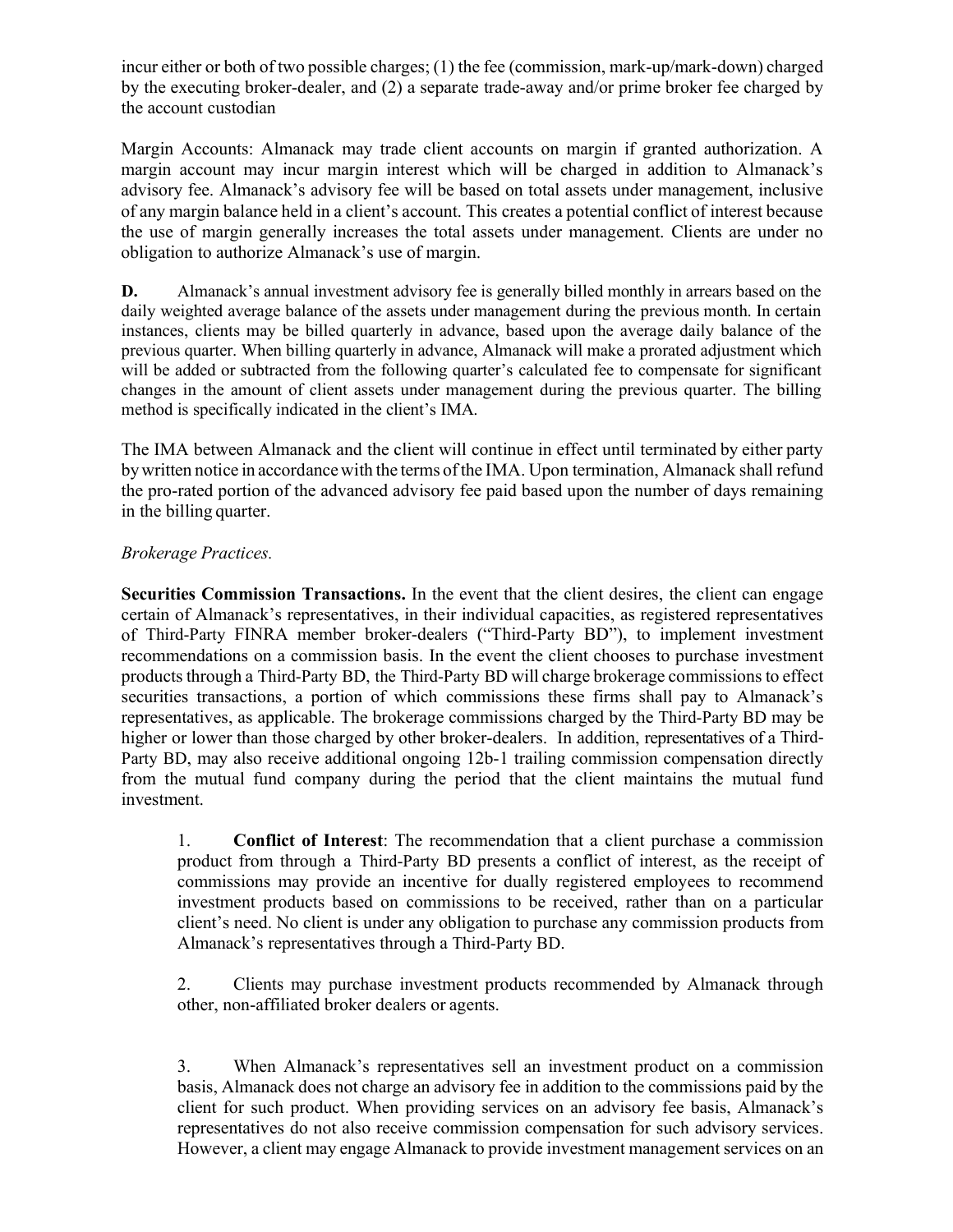incur either or both of two possible charges; (1) the fee (commission, mark-up/mark-down) charged by the executing broker-dealer, and (2) a separate trade-away and/or prime broker fee charged by the account custodian

Margin Accounts: Almanack may trade client accounts on margin if granted authorization. A margin account may incur margin interest which will be charged in addition to Almanack's advisory fee. Almanack's advisory fee will be based on total assets under management, inclusive of any margin balance held in a client's account. This creates a potential conflict of interest because the use of margin generally increases the total assets under management. Clients are under no obligation to authorize Almanack's use of margin.

**D.** Almanack's annual investment advisory fee is generally billed monthly in arrears based on the daily weighted average balance of the assets under management during the previous month. In certain instances, clients may be billed quarterly in advance, based upon the average daily balance of the previous quarter. When billing quarterly in advance, Almanack will make a prorated adjustment which will be added or subtracted from the following quarter's calculated fee to compensate for significant changes in the amount of client assets under management during the previous quarter. The billing method is specifically indicated in the client's IMA.

The IMA between Almanack and the client will continue in effect until terminated by either party bywritten notice in accordancewith the terms of the IMA. Upon termination, Almanack shall refund the pro-rated portion of the advanced advisory fee paid based upon the number of days remaining in the billing quarter.

## *Brokerage Practices.*

**Securities Commission Transactions.** In the event that the client desires, the client can engage certain of Almanack's representatives, in their individual capacities, as registered representatives of Third-Party FINRA member broker-dealers ("Third-Party BD"), to implement investment recommendations on a commission basis. In the event the client chooses to purchase investment products through a Third-Party BD, the Third-Party BD will charge brokerage commissionsto effect securities transactions, a portion of which commissions these firms shall pay to Almanack's representatives, as applicable. The brokerage commissions charged by the Third-Party BD may be higher or lower than those charged by other broker-dealers. In addition, representatives of a Third-Party BD, may also receive additional ongoing 12b-1 trailing commission compensation directly from the mutual fund company during the period that the client maintains the mutual fund investment.

1. **Conflict of Interest**: The recommendation that a client purchase a commission product from through a Third-Party BD presents a conflict of interest, as the receipt of commissions may provide an incentive for dually registered employees to recommend investment products based on commissions to be received, rather than on a particular client's need. No client is under any obligation to purchase any commission products from Almanack's representatives through a Third-Party BD.

2. Clients may purchase investment products recommended by Almanack through other, non-affiliated broker dealers or agents.

3. When Almanack's representatives sell an investment product on a commission basis, Almanack does not charge an advisory fee in addition to the commissions paid by the client for such product. When providing services on an advisory fee basis, Almanack's representatives do not also receive commission compensation for such advisory services. However, a client may engage Almanack to provide investment management services on an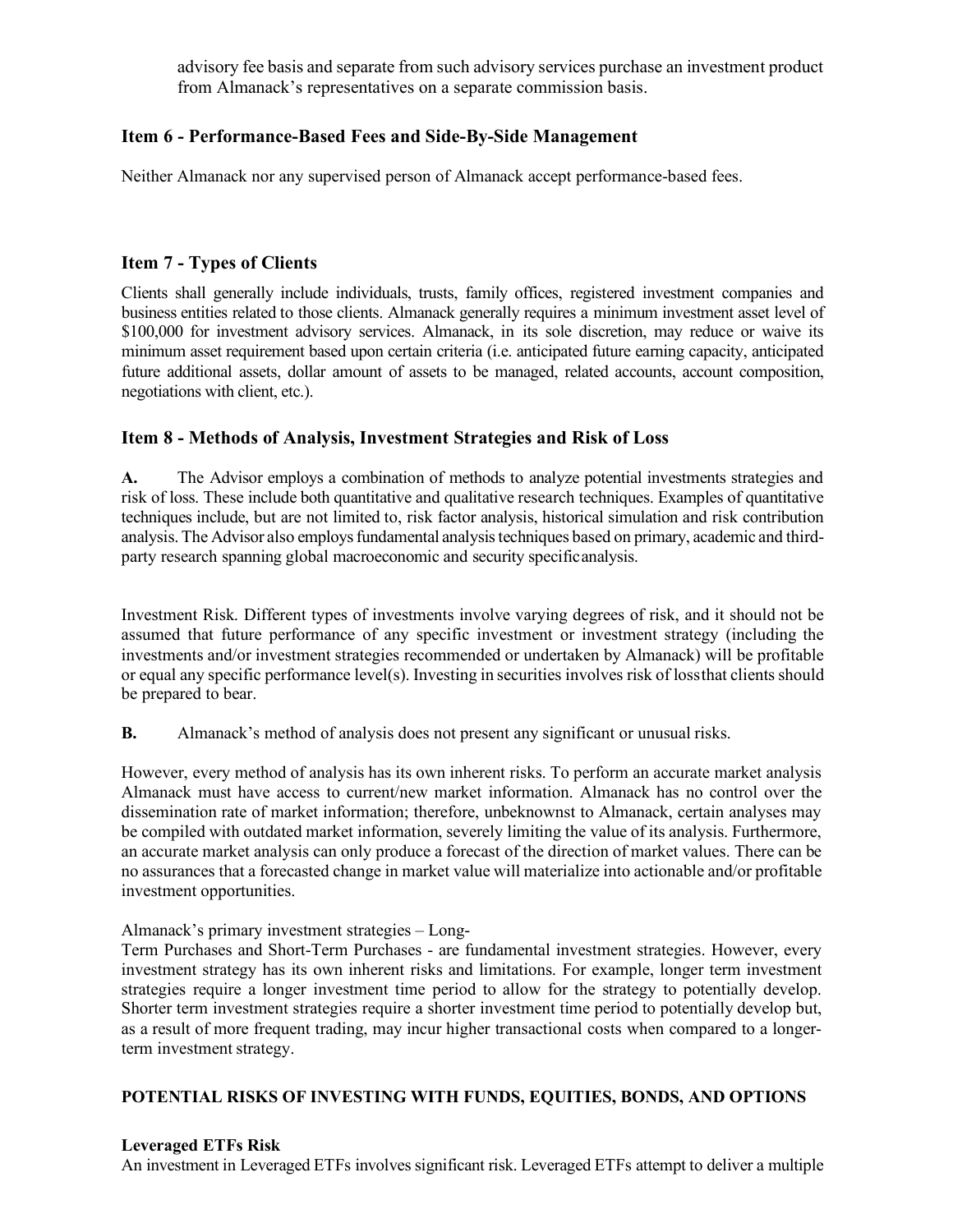advisory fee basis and separate from such advisory services purchase an investment product from Almanack's representatives on a separate commission basis.

## <span id="page-14-0"></span>**Item 6 - Performance-Based Fees and Side-By-Side Management**

Neither Almanack nor any supervised person of Almanack accept performance-based fees.

## <span id="page-14-1"></span>**Item 7 - Types of Clients**

Clients shall generally include individuals, trusts, family offices, registered investment companies and business entities related to those clients. Almanack generally requires a minimum investment asset level of \$100,000 for investment advisory services. Almanack, in its sole discretion, may reduce or waive its minimum asset requirement based upon certain criteria (i.e. anticipated future earning capacity, anticipated future additional assets, dollar amount of assets to be managed, related accounts, account composition, negotiations with client, etc.).

## <span id="page-14-2"></span>**Item 8 - Methods of Analysis, Investment Strategies and Risk of Loss**

**A.** The Advisor employs a combination of methods to analyze potential investments strategies and risk of loss. These include both quantitative and qualitative research techniques. Examples of quantitative techniques include, but are not limited to, risk factor analysis, historical simulation and risk contribution analysis. The Advisor also employsfundamental analysistechniques based on primary, academic and thirdparty research spanning global macroeconomic and security specificanalysis.

Investment Risk. Different types of investments involve varying degrees of risk, and it should not be assumed that future performance of any specific investment or investment strategy (including the investments and/or investment strategies recommended or undertaken by Almanack) will be profitable or equal any specific performance level(s). Investing in securities involves risk of lossthat clients should be prepared to bear.

**B.** Almanack's method of analysis does not present any significant or unusual risks.

However, every method of analysis has its own inherent risks. To perform an accurate market analysis Almanack must have access to current/new market information. Almanack has no control over the dissemination rate of market information; therefore, unbeknownst to Almanack, certain analyses may be compiled with outdated market information, severely limiting the value of its analysis. Furthermore, an accurate market analysis can only produce a forecast of the direction of market values. There can be no assurances that a forecasted change in market value will materialize into actionable and/or profitable investment opportunities.

Almanack's primary investment strategies – Long-

Term Purchases and Short-Term Purchases - are fundamental investment strategies. However, every investment strategy has its own inherent risks and limitations. For example, longer term investment strategies require a longer investment time period to allow for the strategy to potentially develop. Shorter term investment strategies require a shorter investment time period to potentially develop but, as a result of more frequent trading, may incur higher transactional costs when compared to a longerterm investment strategy.

## **POTENTIAL RISKS OF INVESTING WITH FUNDS, EQUITIES, BONDS, AND OPTIONS**

## **Leveraged ETFs Risk**

An investment in Leveraged ETFs involves significant risk. Leveraged ETFs attempt to deliver a multiple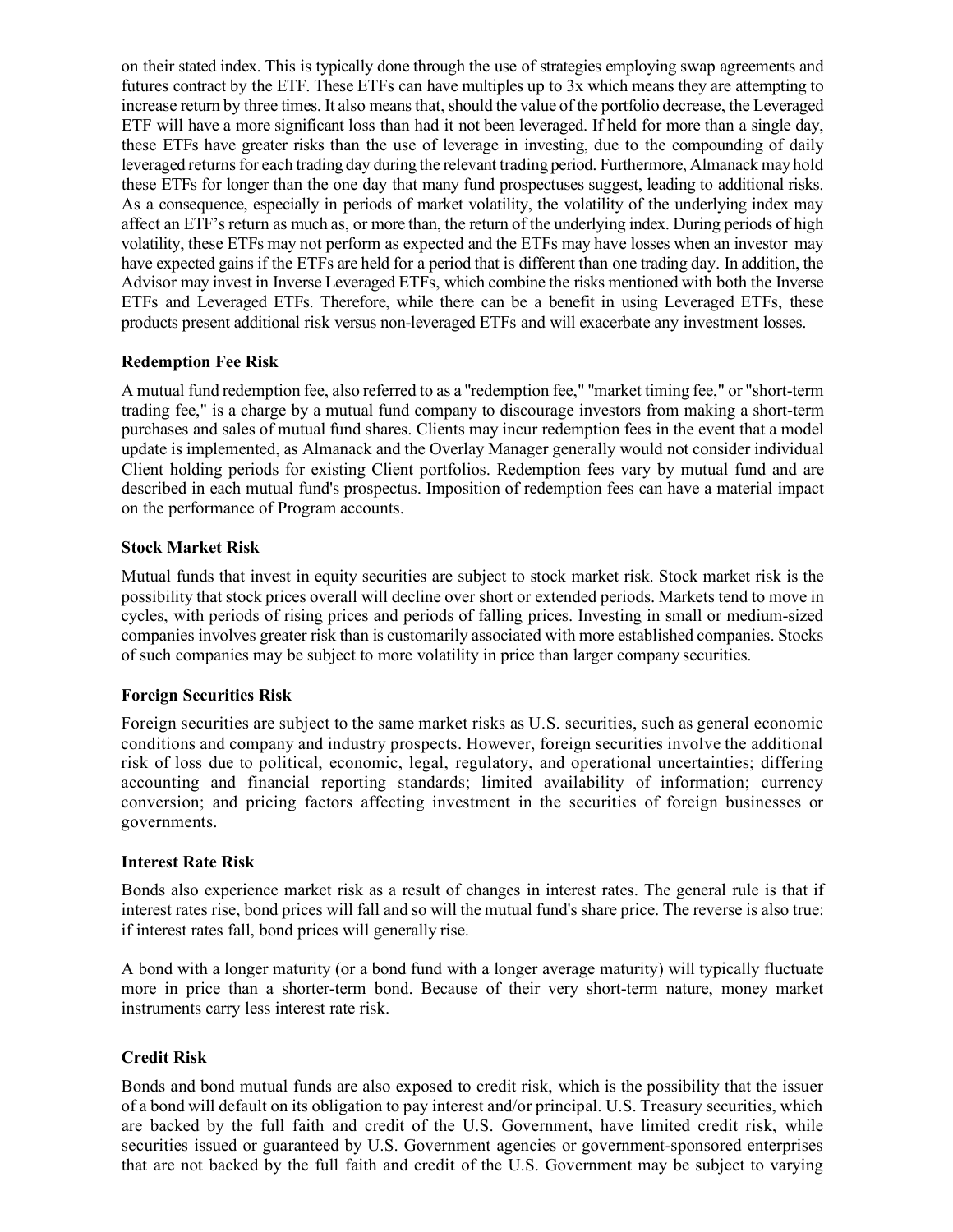on their stated index. This is typically done through the use of strategies employing swap agreements and futures contract by the ETF. These ETFs can have multiples up to 3x which means they are attempting to increase return by three times. It also meansthat, should the value of the portfolio decrease, the Leveraged ETF will have a more significant loss than had it not been leveraged. If held for more than a single day, these ETFs have greater risks than the use of leverage in investing, due to the compounding of daily leveraged returnsfor each trading day during the relevant trading period. Furthermore, Almanack may hold these ETFs for longer than the one day that many fund prospectuses suggest, leading to additional risks. As a consequence, especially in periods of market volatility, the volatility of the underlying index may affect an ETF's return as much as, or more than, the return of the underlying index. During periods of high volatility, these ETFs may not perform as expected and the ETFs may have losses when an investor may have expected gains if the ETFs are held for a period that is different than one trading day. In addition, the Advisor may invest in Inverse Leveraged ETFs, which combine the risks mentioned with both the Inverse ETFs and Leveraged ETFs. Therefore, while there can be a benefit in using Leveraged ETFs, these products present additional risk versus non-leveraged ETFs and will exacerbate any investment losses.

#### **Redemption Fee Risk**

A mutual fund redemption fee, also referred to as a ''redemption fee," ''market timing fee," or "short-term trading fee," is a charge by a mutual fund company to discourage investors from making a short-term purchases and sales of mutual fund shares. Clients may incur redemption fees in the event that a model update is implemented, as Almanack and the Overlay Manager generally would not consider individual Client holding periods for existing Client portfolios. Redemption fees vary by mutual fund and are described in each mutual fund's prospectus. Imposition of redemption fees can have a material impact on the performance of Program accounts.

#### **Stock Market Risk**

Mutual funds that invest in equity securities are subject to stock market risk. Stock market risk is the possibility that stock prices overall will decline over short or extended periods. Markets tend to move in cycles, with periods of rising prices and periods of falling prices. Investing in small or medium-sized companies involves greater risk than is customarily associated with more established companies. Stocks of such companies may be subject to more volatility in price than larger company securities.

#### **Foreign Securities Risk**

Foreign securities are subject to the same market risks as U.S. securities, such as general economic conditions and company and industry prospects. However, foreign securities involve the additional risk of loss due to political, economic, legal, regulatory, and operational uncertainties; differing accounting and financial reporting standards; limited availability of information; currency conversion; and pricing factors affecting investment in the securities of foreign businesses or governments.

#### **Interest Rate Risk**

Bonds also experience market risk as a result of changes in interest rates. The general rule is that if interest rates rise, bond prices will fall and so will the mutual fund's share price. The reverse is also true: if interest rates fall, bond prices will generally rise.

A bond with a longer maturity (or a bond fund with a longer average maturity) will typically fluctuate more in price than a shorter-term bond. Because of their very short-term nature, money market instruments carry less interest rate risk.

## **Credit Risk**

Bonds and bond mutual funds are also exposed to credit risk, which is the possibility that the issuer of a bond will default on its obligation to pay interest and/or principal. U.S. Treasury securities, which are backed by the full faith and credit of the U.S. Government, have limited credit risk, while securities issued or guaranteed by U.S. Government agencies or government-sponsored enterprises that are not backed by the full faith and credit of the U.S. Government may be subject to varying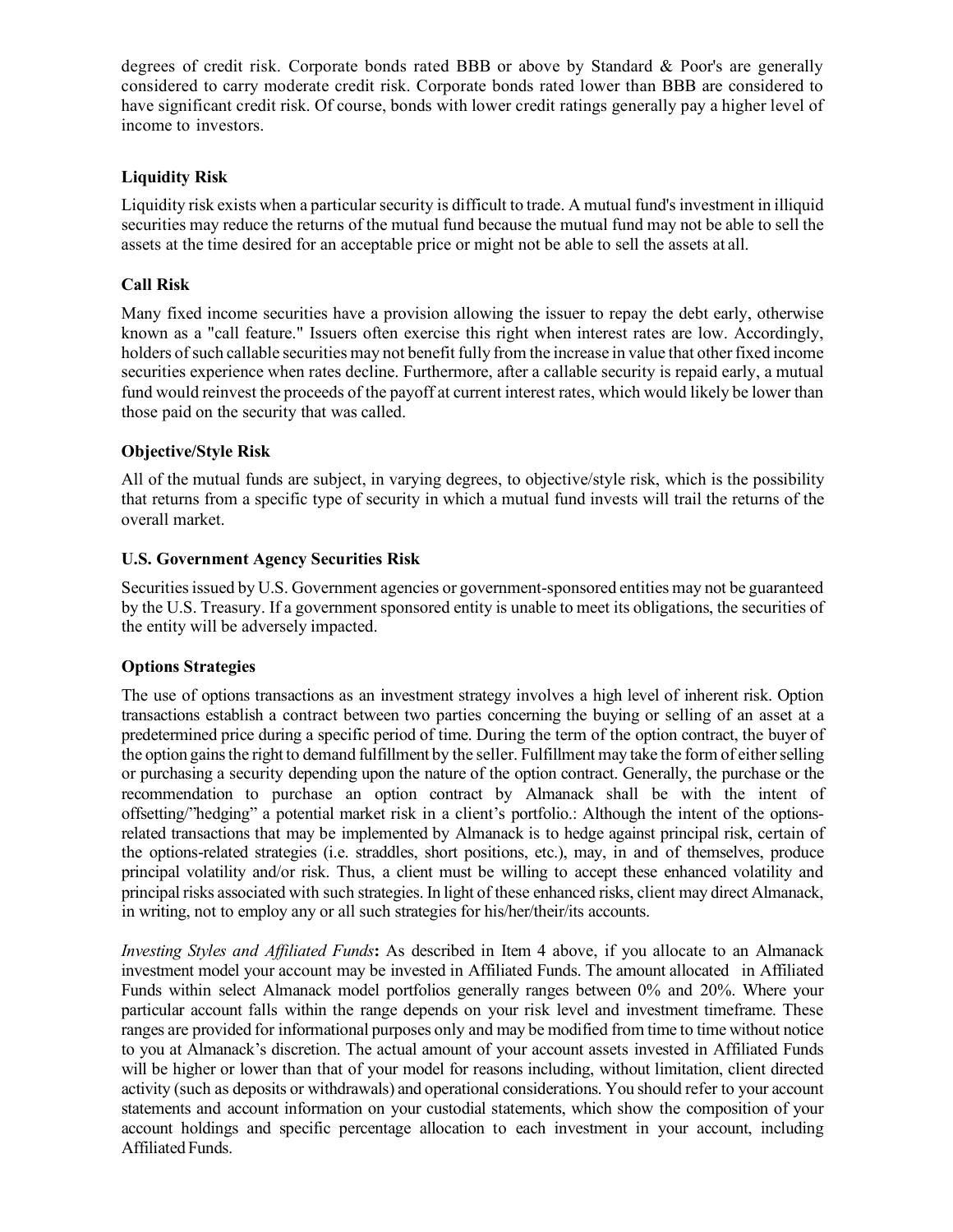degrees of credit risk. Corporate bonds rated BBB or above by Standard & Poor's are generally considered to carry moderate credit risk. Corporate bonds rated lower than BBB are considered to have significant credit risk. Of course, bonds with lower credit ratings generally pay a higher level of income to investors.

## **Liquidity Risk**

Liquidity risk exists when a particular security is difficult to trade. A mutual fund's investment in illiquid securities may reduce the returns of the mutual fund because the mutual fund may not be able to sell the assets at the time desired for an acceptable price or might not be able to sell the assets at all.

## **Call Risk**

Many fixed income securities have a provision allowing the issuer to repay the debt early, otherwise known as a "call feature." Issuers often exercise this right when interest rates are low. Accordingly, holders of such callable securities may not benefit fully from the increase in value that other fixed income securities experience when rates decline. Furthermore, after a callable security is repaid early, a mutual fund would reinvest the proceeds of the payoff at current interest rates, which would likely be lower than those paid on the security that was called.

## **Objective/Style Risk**

All of the mutual funds are subject, in varying degrees, to objective/style risk, which is the possibility that returns from a specific type of security in which a mutual fund invests will trail the returns of the overall market.

## **U.S. Government Agency Securities Risk**

Securitiesissued by U.S. Government agencies or government-sponsored entities may not be guaranteed by the U.S. Treasury. If a government sponsored entity is unable to meet its obligations, the securities of the entity will be adversely impacted.

#### **Options Strategies**

The use of options transactions as an investment strategy involves a high level of inherent risk. Option transactions establish a contract between two parties concerning the buying or selling of an asset at a predetermined price during a specific period of time. During the term of the option contract, the buyer of the option gainsthe right to demand fulfillment by the seller. Fulfillment may take the form of eitherselling or purchasing a security depending upon the nature of the option contract. Generally, the purchase or the recommendation to purchase an option contract by Almanack shall be with the intent of offsetting/"hedging" a potential market risk in a client's portfolio.: Although the intent of the optionsrelated transactions that may be implemented by Almanack is to hedge against principal risk, certain of the options-related strategies (i.e. straddles, short positions, etc.), may, in and of themselves, produce principal volatility and/or risk. Thus, a client must be willing to accept these enhanced volatility and principal risks associated with such strategies. In light of these enhanced risks, client may direct Almanack, in writing, not to employ any or all such strategies for his/her/their/its accounts.

*Investing Styles and Affiliated Funds***:** As described in Item 4 above, if you allocate to an Almanack investment model your account may be invested in Affiliated Funds. The amount allocated in Affiliated Funds within select Almanack model portfolios generally ranges between 0% and 20%. Where your particular account falls within the range depends on your risk level and investment timeframe. These ranges are provided for informational purposes only and may be modified from time to time without notice to you at Almanack's discretion. The actual amount of your account assets invested in Affiliated Funds will be higher or lower than that of your model for reasons including, without limitation, client directed activity (such as deposits or withdrawals) and operational considerations. You should refer to your account statements and account information on your custodial statements, which show the composition of your account holdings and specific percentage allocation to each investment in your account, including Affiliated Funds.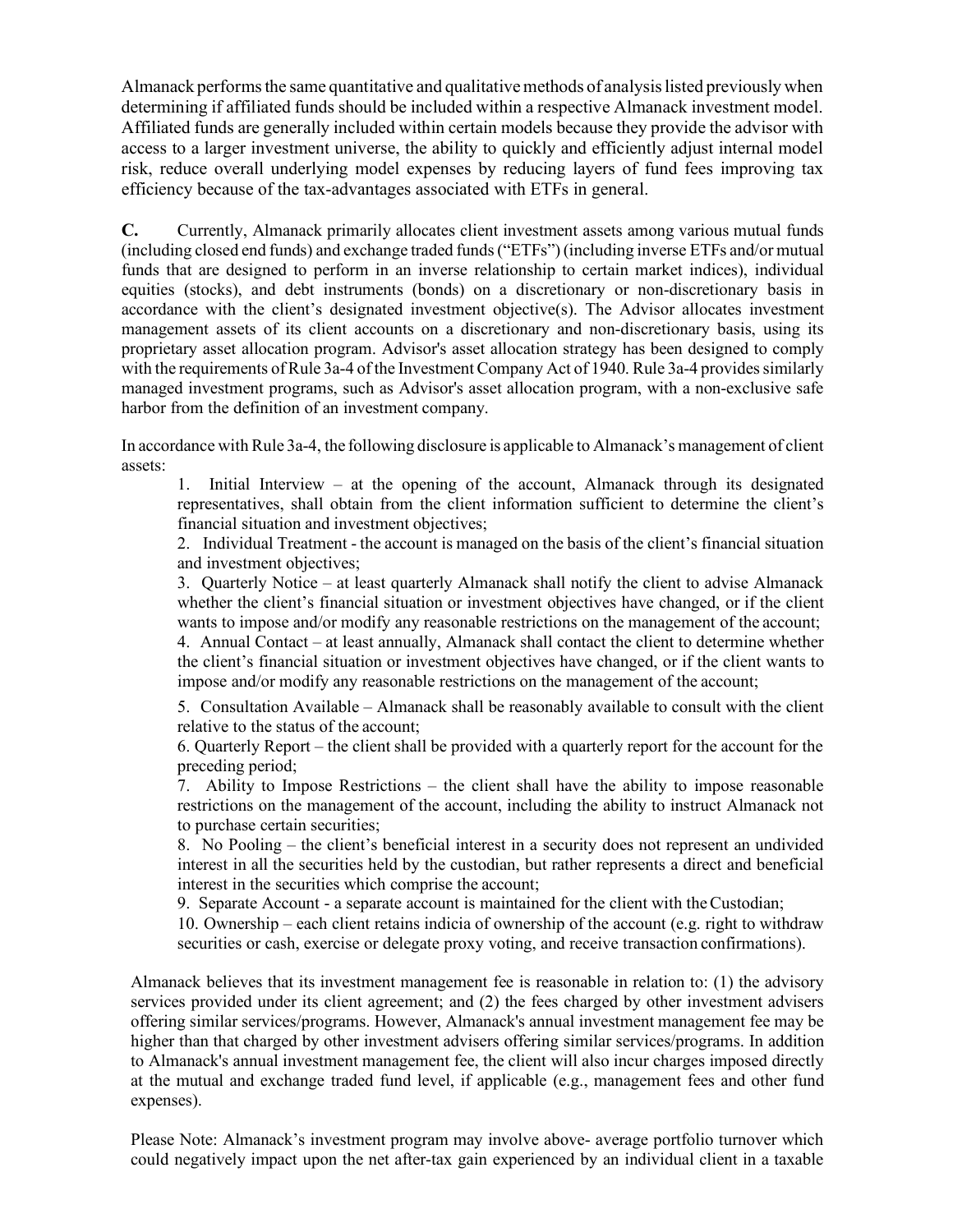Almanack performs the same quantitative and qualitative methods of analysis listed previously when determining if affiliated funds should be included within a respective Almanack investment model. Affiliated funds are generally included within certain models because they provide the advisor with access to a larger investment universe, the ability to quickly and efficiently adjust internal model risk, reduce overall underlying model expenses by reducing layers of fund fees improving tax efficiency because of the tax-advantages associated with ETFs in general.

**C.** Currently, Almanack primarily allocates client investment assets among various mutual funds (including closed end funds) and exchange traded funds("ETFs") (including inverse ETFs and/or mutual funds that are designed to perform in an inverse relationship to certain market indices), individual equities (stocks), and debt instruments (bonds) on a discretionary or non-discretionary basis in accordance with the client's designated investment objective(s). The Advisor allocates investment management assets of its client accounts on a discretionary and non-discretionary basis, using its proprietary asset allocation program. Advisor's asset allocation strategy has been designed to comply with the requirements of Rule 3a-4 of the Investment Company Act of 1940. Rule 3a-4 provides similarly managed investment programs, such as Advisor's asset allocation program, with a non-exclusive safe harbor from the definition of an investment company.

In accordance with Rule 3a-4, the following disclosure is applicable to Almanack's management of client assets:

1. Initial Interview – at the opening of the account, Almanack through its designated representatives, shall obtain from the client information sufficient to determine the client's financial situation and investment objectives;

2. Individual Treatment - the account is managed on the basis of the client's financial situation and investment objectives;

3. Quarterly Notice – at least quarterly Almanack shall notify the client to advise Almanack whether the client's financial situation or investment objectives have changed, or if the client wants to impose and/or modify any reasonable restrictions on the management of the account; 4. Annual Contact – at least annually, Almanack shall contact the client to determine whether the client's financial situation or investment objectives have changed, or if the client wants to impose and/or modify any reasonable restrictions on the management of the account;

5. Consultation Available – Almanack shall be reasonably available to consult with the client relative to the status of the account;

6. Quarterly Report – the client shall be provided with a quarterly report for the account for the preceding period;

7. Ability to Impose Restrictions – the client shall have the ability to impose reasonable restrictions on the management of the account, including the ability to instruct Almanack not to purchase certain securities;

8. No Pooling – the client's beneficial interest in a security does not represent an undivided interest in all the securities held by the custodian, but rather represents a direct and beneficial interest in the securities which comprise the account;

9. Separate Account - a separate account is maintained for the client with theCustodian;

10. Ownership – each client retains indicia of ownership of the account (e.g. right to withdraw securities or cash, exercise or delegate proxy voting, and receive transaction confirmations).

Almanack believes that its investment management fee is reasonable in relation to: (1) the advisory services provided under its client agreement; and (2) the fees charged by other investment advisers offering similar services/programs. However, Almanack's annual investment management fee may be higher than that charged by other investment advisers offering similar services/programs. In addition to Almanack's annual investment management fee, the client will also incur charges imposed directly at the mutual and exchange traded fund level, if applicable (e.g., management fees and other fund expenses).

Please Note: Almanack's investment program may involve above- average portfolio turnover which could negatively impact upon the net after-tax gain experienced by an individual client in a taxable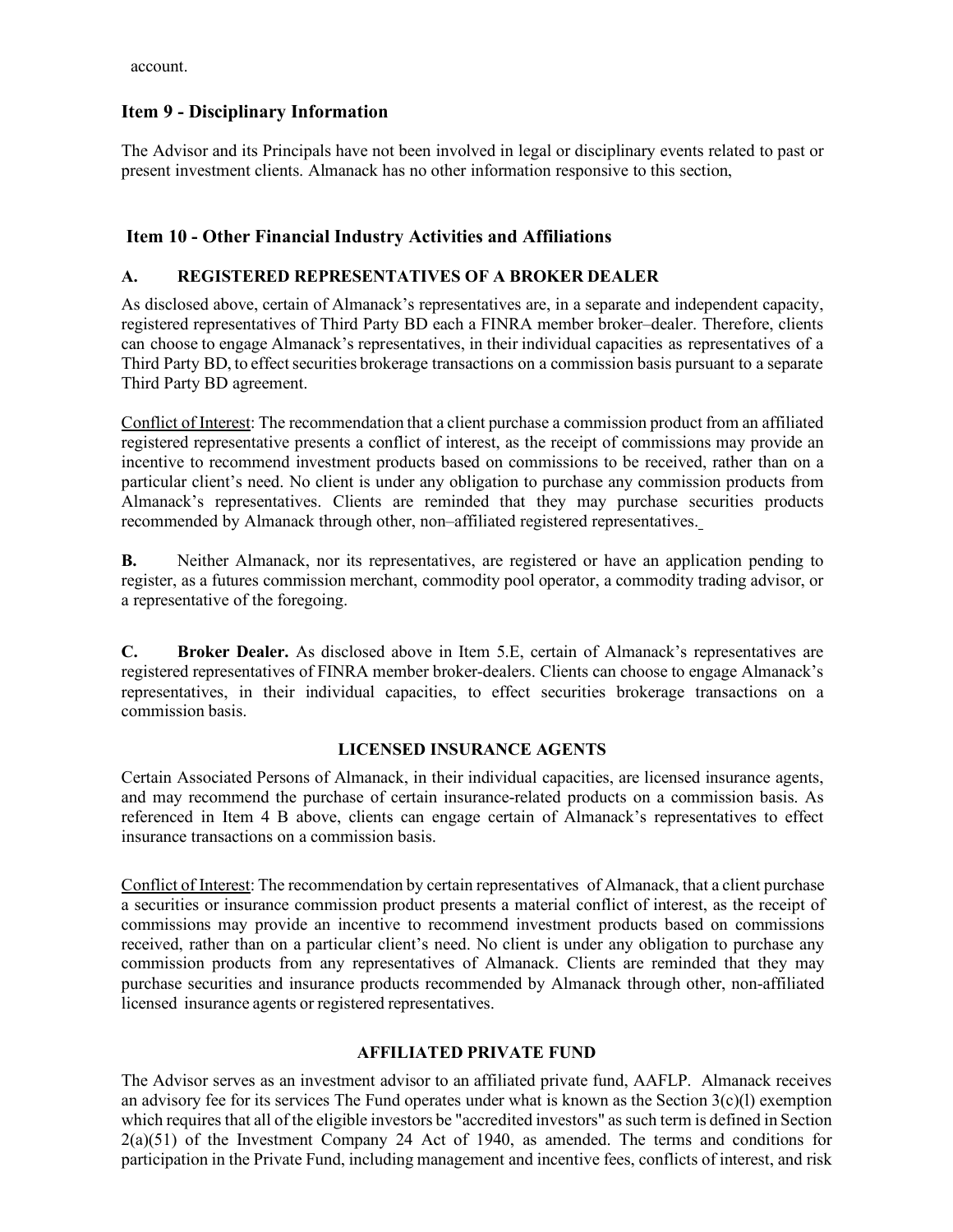account.

# <span id="page-18-0"></span>**Item 9 - Disciplinary Information**

The Advisor and its Principals have not been involved in legal or disciplinary events related to past or present investment clients. Almanack has no other information responsive to this section,

# <span id="page-18-1"></span>**Item 10 - Other Financial Industry Activities and Affiliations**

## **A. REGISTERED REPRESENTATIVES OF A BROKER DEALER**

As disclosed above, certain of Almanack's representatives are, in a separate and independent capacity, registered representatives of Third Party BD each a FINRA member broker–dealer. Therefore, clients can choose to engage Almanack's representatives, in their individual capacities as representatives of a Third Party BD, to effect securities brokerage transactions on a commission basis pursuant to a separate Third Party BD agreement.

Conflict of Interest: The recommendation that a client purchase a commission product from an affiliated registered representative presents a conflict of interest, as the receipt of commissions may provide an incentive to recommend investment products based on commissions to be received, rather than on a particular client's need. No client is under any obligation to purchase any commission products from Almanack's representatives. Clients are reminded that they may purchase securities products recommended by Almanack through other, non–affiliated registered representatives.

**B.** Neither Almanack, nor its representatives, are registered or have an application pending to register, as a futures commission merchant, commodity pool operator, a commodity trading advisor, or a representative of the foregoing.

**C. Broker Dealer.** As disclosed above in Item 5.E, certain of Almanack's representatives are registered representatives of FINRA member broker-dealers. Clients can choose to engage Almanack's representatives, in their individual capacities, to effect securities brokerage transactions on a commission basis.

## **LICENSED INSURANCE AGENTS**

Certain Associated Persons of Almanack, in their individual capacities, are licensed insurance agents, and may recommend the purchase of certain insurance-related products on a commission basis. As referenced in Item 4 B above, clients can engage certain of Almanack's representatives to effect insurance transactions on a commission basis.

Conflict of Interest: The recommendation by certain representatives of Almanack, that a client purchase a securities or insurance commission product presents a material conflict of interest, as the receipt of commissions may provide an incentive to recommend investment products based on commissions received, rather than on a particular client's need. No client is under any obligation to purchase any commission products from any representatives of Almanack. Clients are reminded that they may purchase securities and insurance products recommended by Almanack through other, non-affiliated licensed insurance agents or registered representatives.

## **AFFILIATED PRIVATE FUND**

The Advisor serves as an investment advisor to an affiliated private fund, AAFLP. Almanack receives an advisory fee for its services The Fund operates under what is known as the Section 3(c)(l) exemption which requires that all of the eligible investors be "accredited investors" as such term is defined in Section 2(a)(51) of the Investment Company 24 Act of 1940, as amended. The terms and conditions for participation in the Private Fund, including management and incentive fees, conflicts of interest, and risk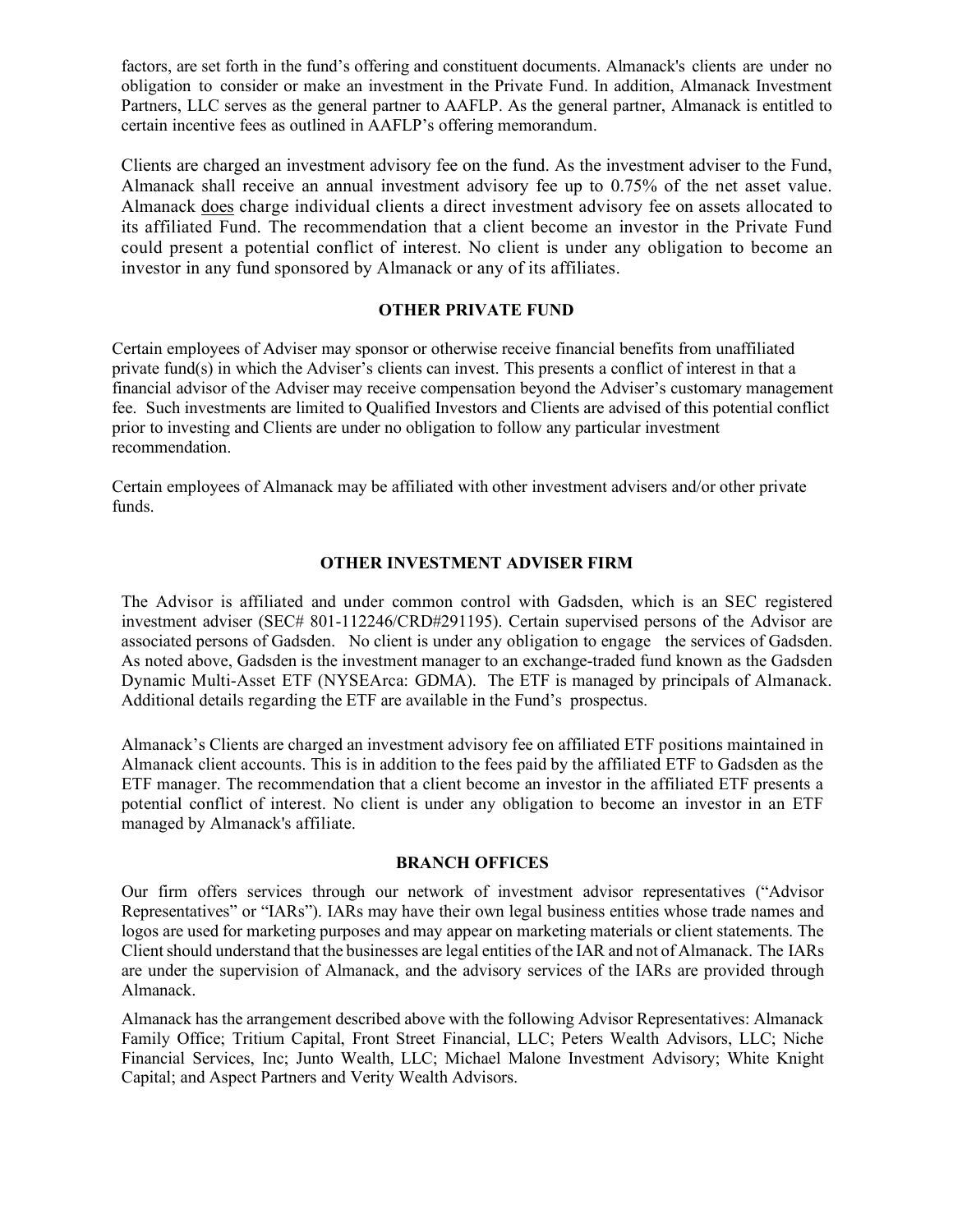factors, are set forth in the fund's offering and constituent documents. Almanack's clients are under no obligation to consider or make an investment in the Private Fund. In addition, Almanack Investment Partners, LLC serves as the general partner to AAFLP. As the general partner, Almanack is entitled to certain incentive fees as outlined in AAFLP's offering memorandum.

Clients are charged an investment advisory fee on the fund. As the investment adviser to the Fund, Almanack shall receive an annual investment advisory fee up to 0.75% of the net asset value. Almanack does charge individual clients a direct investment advisory fee on assets allocated to its affiliated Fund. The recommendation that a client become an investor in the Private Fund could present a potential conflict of interest. No client is under any obligation to become an investor in any fund sponsored by Almanack or any of its affiliates.

#### **OTHER PRIVATE FUND**

Certain employees of Adviser may sponsor or otherwise receive financial benefits from unaffiliated private fund(s) in which the Adviser's clients can invest. This presents a conflict of interest in that a financial advisor of the Adviser may receive compensation beyond the Adviser's customary management fee. Such investments are limited to Qualified Investors and Clients are advised of this potential conflict prior to investing and Clients are under no obligation to follow any particular investment recommendation.

Certain employees of Almanack may be affiliated with other investment advisers and/or other private funds.

#### **OTHER INVESTMENT ADVISER FIRM**

The Advisor is affiliated and under common control with Gadsden, which is an SEC registered investment adviser (SEC# 801-112246/CRD#291195). Certain supervised persons of the Advisor are associated persons of Gadsden. No client is under any obligation to engage the services of Gadsden. As noted above, Gadsden is the investment manager to an exchange-traded fund known as the Gadsden Dynamic Multi-Asset ETF (NYSEArca: GDMA). The ETF is managed by principals of Almanack. Additional details regarding the ETF are available in the Fund's prospectus.

Almanack's Clients are charged an investment advisory fee on affiliated ETF positions maintained in Almanack client accounts. This is in addition to the fees paid by the affiliated ETF to Gadsden as the ETF manager. The recommendation that a client become an investor in the affiliated ETF presents a potential conflict of interest. No client is under any obligation to become an investor in an ETF managed by Almanack's affiliate.

#### **BRANCH OFFICES**

Our firm offers services through our network of investment advisor representatives ("Advisor Representatives" or "IARs"). IARs may have their own legal business entities whose trade names and logos are used for marketing purposes and may appear on marketing materials or client statements. The Clientshould understand that the businesses are legal entities of the IAR and not of Almanack. The IARs are under the supervision of Almanack, and the advisory services of the IARs are provided through Almanack.

Almanack has the arrangement described above with the following Advisor Representatives: Almanack Family Office; Tritium Capital, Front Street Financial, LLC; Peters Wealth Advisors, LLC; Niche Financial Services, Inc; Junto Wealth, LLC; Michael Malone Investment Advisory; White Knight Capital; and Aspect Partners and Verity Wealth Advisors.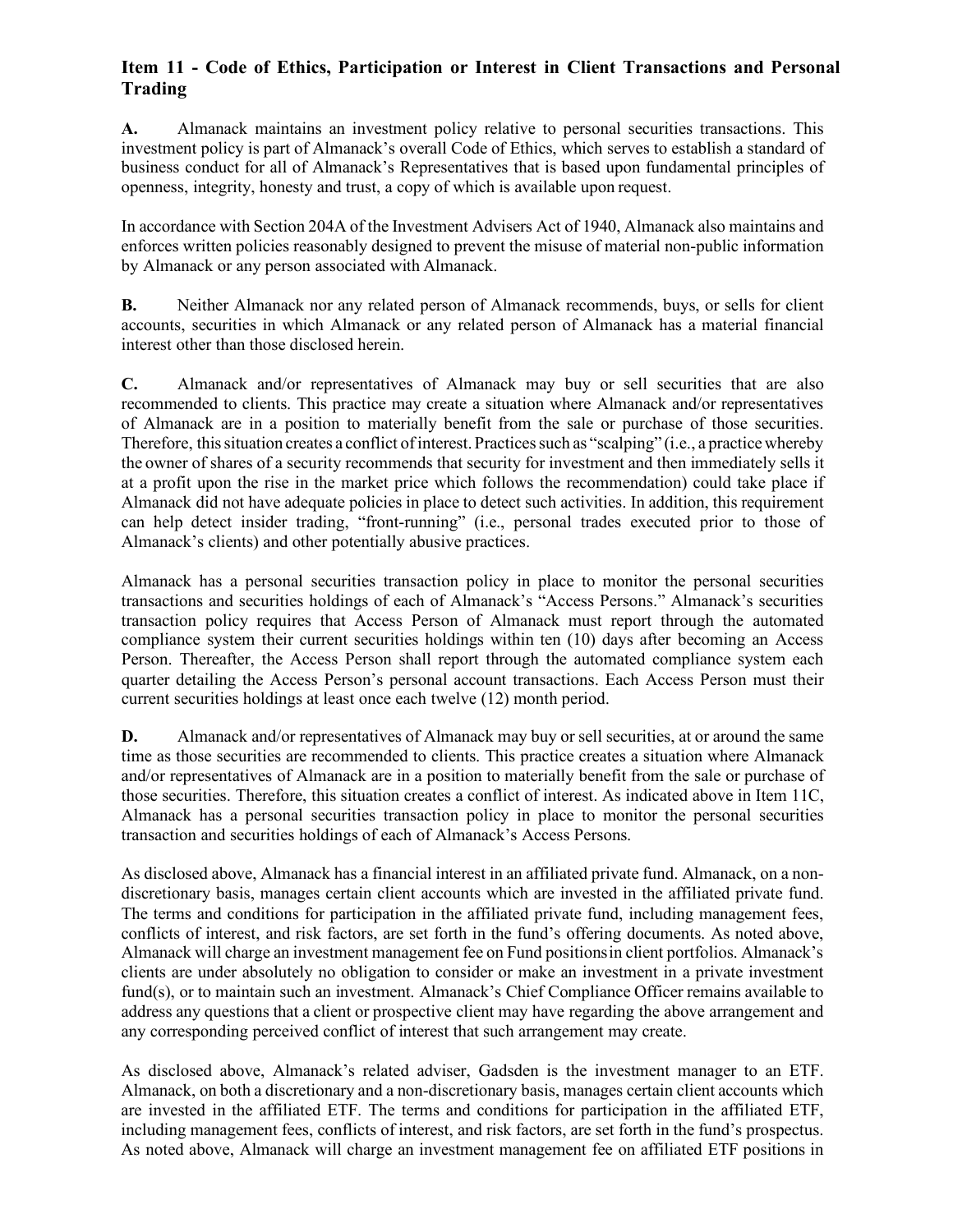# <span id="page-20-0"></span>**Item 11 - Code of Ethics, Participation or Interest in Client Transactions and Personal Trading**

**A.** Almanack maintains an investment policy relative to personal securities transactions. This investment policy is part of Almanack's overall Code of Ethics, which serves to establish a standard of business conduct for all of Almanack's Representatives that is based upon fundamental principles of openness, integrity, honesty and trust, a copy of which is available upon request.

In accordance with Section 204A of the Investment Advisers Act of 1940, Almanack also maintains and enforces written policies reasonably designed to prevent the misuse of material non-public information by Almanack or any person associated with Almanack.

**B.** Neither Almanack nor any related person of Almanack recommends, buys, or sells for client accounts, securities in which Almanack or any related person of Almanack has a material financial interest other than those disclosed herein.

**C.** Almanack and/or representatives of Almanack may buy or sell securities that are also recommended to clients. This practice may create a situation where Almanack and/or representatives of Almanack are in a position to materially benefit from the sale or purchase of those securities. Therefore, this situation creates a conflict of interest. Practices such as "scalping" (i.e., a practice whereby the owner of shares of a security recommends that security for investment and then immediately sells it at a profit upon the rise in the market price which follows the recommendation) could take place if Almanack did not have adequate policies in place to detect such activities. In addition, this requirement can help detect insider trading, "front-running" (i.e., personal trades executed prior to those of Almanack's clients) and other potentially abusive practices.

Almanack has a personal securities transaction policy in place to monitor the personal securities transactions and securities holdings of each of Almanack's "Access Persons." Almanack's securities transaction policy requires that Access Person of Almanack must report through the automated compliance system their current securities holdings within ten (10) days after becoming an Access Person. Thereafter, the Access Person shall report through the automated compliance system each quarter detailing the Access Person's personal account transactions. Each Access Person must their current securities holdings at least once each twelve (12) month period.

**D.** Almanack and/or representatives of Almanack may buy or sell securities, at or around the same time as those securities are recommended to clients. This practice creates a situation where Almanack and/or representatives of Almanack are in a position to materially benefit from the sale or purchase of those securities. Therefore, this situation creates a conflict of interest. As indicated above in Item 11C, Almanack has a personal securities transaction policy in place to monitor the personal securities transaction and securities holdings of each of Almanack's Access Persons.

As disclosed above, Almanack has a financial interest in an affiliated private fund. Almanack, on a nondiscretionary basis, manages certain client accounts which are invested in the affiliated private fund. The terms and conditions for participation in the affiliated private fund, including management fees, conflicts of interest, and risk factors, are set forth in the fund's offering documents. As noted above, Almanack will charge an investment management fee on Fund positionsin client portfolios. Almanack's clients are under absolutely no obligation to consider or make an investment in a private investment fund(s), or to maintain such an investment. Almanack's Chief Compliance Officer remains available to address any questions that a client or prospective client may have regarding the above arrangement and any corresponding perceived conflict of interest that such arrangement may create.

As disclosed above, Almanack's related adviser, Gadsden is the investment manager to an ETF. Almanack, on both a discretionary and a non-discretionary basis, manages certain client accounts which are invested in the affiliated ETF. The terms and conditions for participation in the affiliated ETF, including management fees, conflicts of interest, and risk factors, are set forth in the fund's prospectus. As noted above, Almanack will charge an investment management fee on affiliated ETF positions in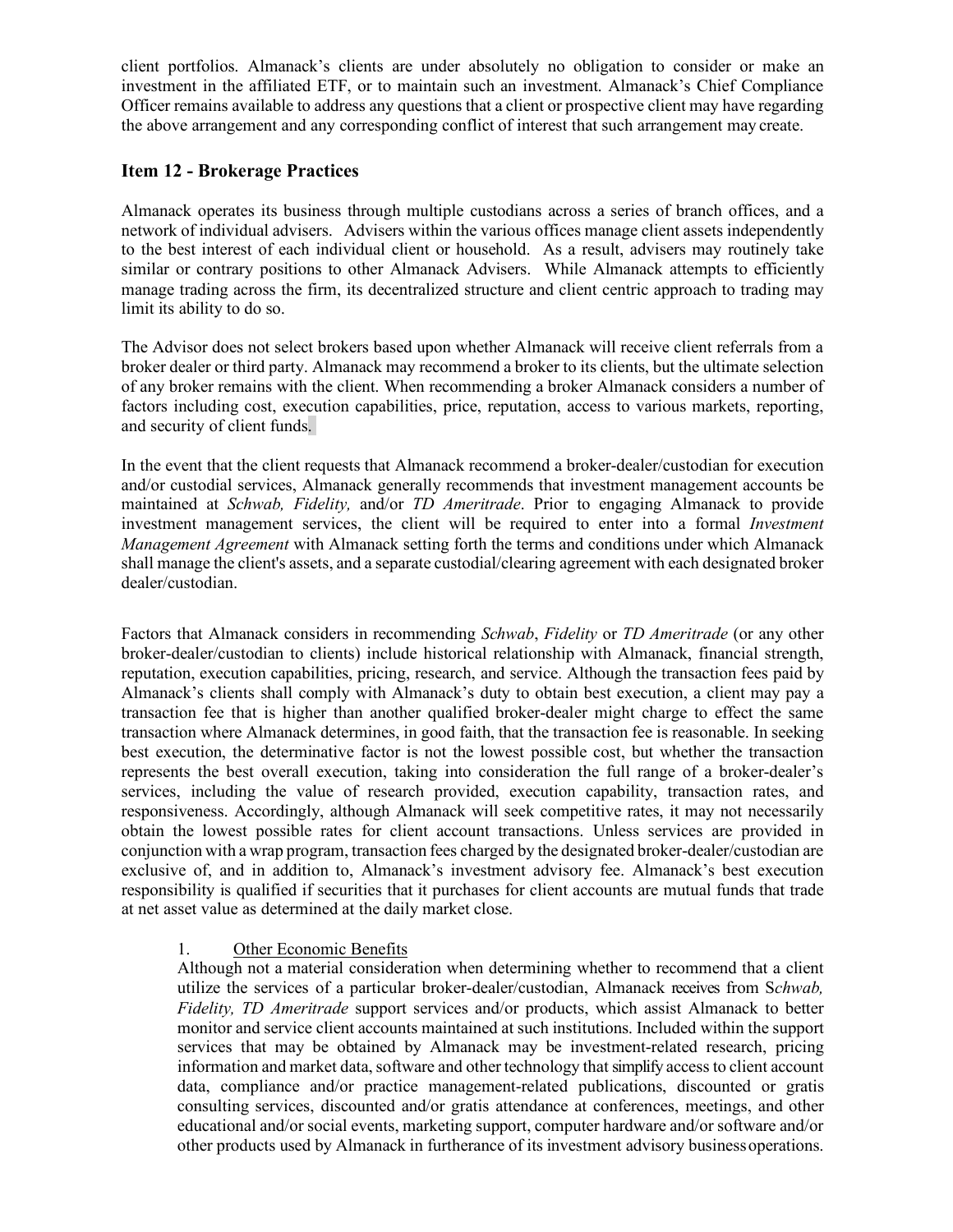client portfolios. Almanack's clients are under absolutely no obligation to consider or make an investment in the affiliated ETF, or to maintain such an investment. Almanack's Chief Compliance Officer remains available to address any questions that a client or prospective client may have regarding the above arrangement and any corresponding conflict of interest that such arrangement may create.

## <span id="page-21-0"></span>**Item 12 - Brokerage Practices**

Almanack operates its business through multiple custodians across a series of branch offices, and a network of individual advisers. Advisers within the various offices manage client assets independently to the best interest of each individual client or household. As a result, advisers may routinely take similar or contrary positions to other Almanack Advisers. While Almanack attempts to efficiently manage trading across the firm, its decentralized structure and client centric approach to trading may limit its ability to do so.

The Advisor does not select brokers based upon whether Almanack will receive client referrals from a broker dealer or third party. Almanack may recommend a broker to its clients, but the ultimate selection of any broker remains with the client. When recommending a broker Almanack considers a number of factors including cost, execution capabilities, price, reputation, access to various markets, reporting, and security of client funds.

In the event that the client requests that Almanack recommend a broker-dealer/custodian for execution and/or custodial services, Almanack generally recommends that investment management accounts be maintained at *Schwab, Fidelity,* and/or *TD Ameritrade*. Prior to engaging Almanack to provide investment management services, the client will be required to enter into a formal *Investment Management Agreement* with Almanack setting forth the terms and conditions under which Almanack shall manage the client's assets, and a separate custodial/clearing agreement with each designated broker dealer/custodian.

Factors that Almanack considers in recommending *Schwab*, *Fidelity* or *TD Ameritrade* (or any other broker-dealer/custodian to clients) include historical relationship with Almanack, financial strength, reputation, execution capabilities, pricing, research, and service. Although the transaction fees paid by Almanack's clients shall comply with Almanack's duty to obtain best execution, a client may pay a transaction fee that is higher than another qualified broker-dealer might charge to effect the same transaction where Almanack determines, in good faith, that the transaction fee is reasonable. In seeking best execution, the determinative factor is not the lowest possible cost, but whether the transaction represents the best overall execution, taking into consideration the full range of a broker-dealer's services, including the value of research provided, execution capability, transaction rates, and responsiveness. Accordingly, although Almanack will seek competitive rates, it may not necessarily obtain the lowest possible rates for client account transactions. Unless services are provided in conjunction with a wrap program, transaction fees charged by the designated broker-dealer/custodian are exclusive of, and in addition to, Almanack's investment advisory fee. Almanack's best execution responsibility is qualified if securities that it purchases for client accounts are mutual funds that trade at net asset value as determined at the daily market close.

## 1. Other Economic Benefits

Although not a material consideration when determining whether to recommend that a client utilize the services of a particular broker-dealer/custodian, Almanack receives from S*chwab, Fidelity, TD Ameritrade* support services and/or products, which assist Almanack to better monitor and service client accounts maintained at such institutions. Included within the support services that may be obtained by Almanack may be investment-related research, pricing information and market data, software and other technology that simplify access to client account data, compliance and/or practice management-related publications, discounted or gratis consulting services, discounted and/or gratis attendance at conferences, meetings, and other educational and/or social events, marketing support, computer hardware and/or software and/or other products used by Almanack in furtherance of its investment advisory businessoperations.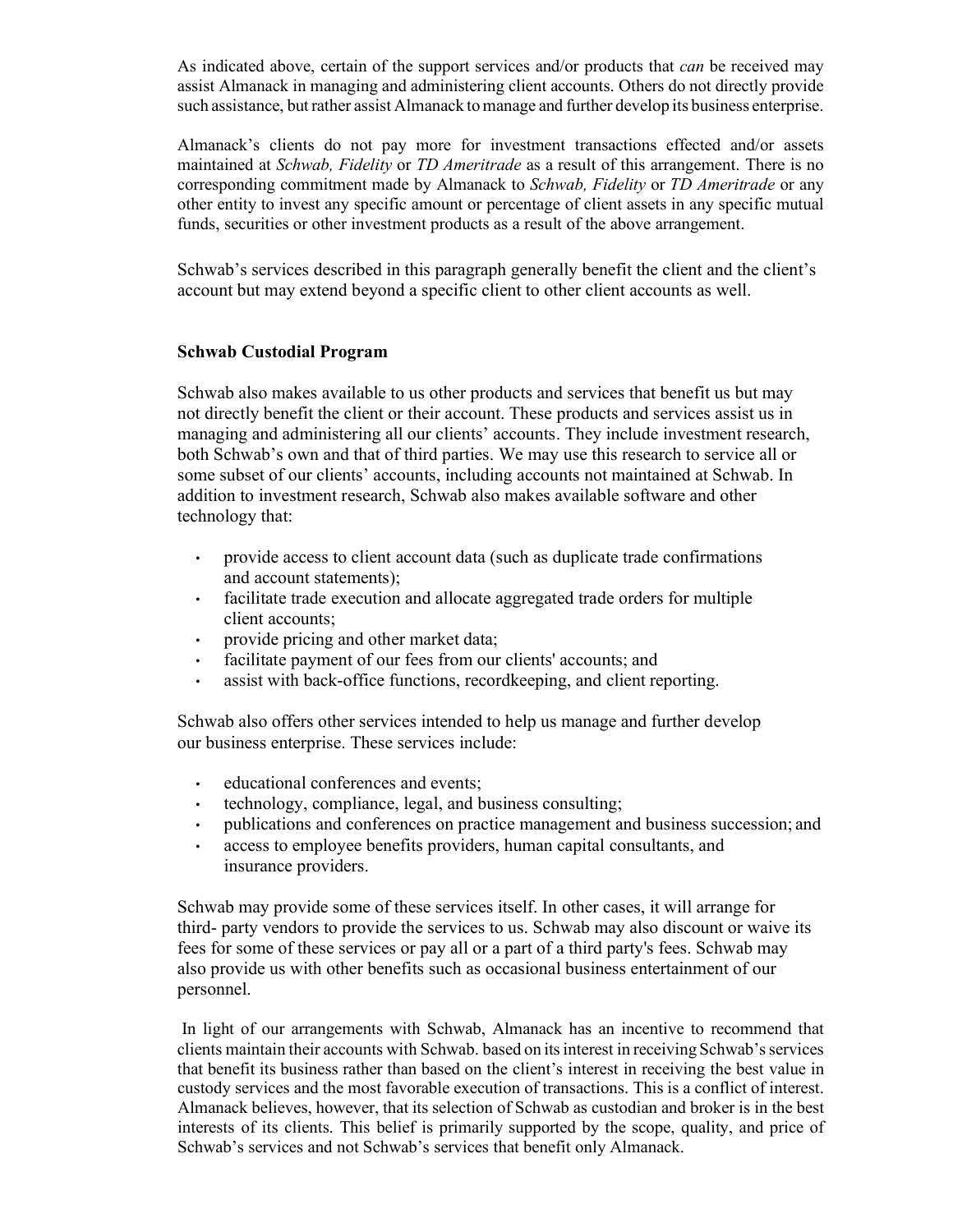As indicated above, certain of the support services and/or products that *can* be received may assist Almanack in managing and administering client accounts. Others do not directly provide such assistance, but rather assist Almanack to manage and further develop its business enterprise.

Almanack's clients do not pay more for investment transactions effected and/or assets maintained at *Schwab, Fidelity* or *TD Ameritrade* as a result of this arrangement. There is no corresponding commitment made by Almanack to *Schwab, Fidelity* or *TD Ameritrade* or any other entity to invest any specific amount or percentage of client assets in any specific mutual funds, securities or other investment products as a result of the above arrangement.

Schwab's services described in this paragraph generally benefit the client and the client's account but may extend beyond a specific client to other client accounts as well.

#### **Schwab Custodial Program**

Schwab also makes available to us other products and services that benefit us but may not directly benefit the client or their account. These products and services assist us in managing and administering all our clients' accounts. They include investment research, both Schwab's own and that of third parties. We may use this research to service all or some subset of our clients' accounts, including accounts not maintained at Schwab. In addition to investment research, Schwab also makes available software and other technology that:

- provide access to client account data (such as duplicate trade confirmations and account statements);
- facilitate trade execution and allocate aggregated trade orders for multiple client accounts;
- provide pricing and other market data;
- facilitate payment of our fees from our clients' accounts; and
- assist with back-office functions, recordkeeping, and client reporting.

Schwab also offers other services intended to help us manage and further develop our business enterprise. These services include:

- educational conferences and events;
- technology, compliance, legal, and business consulting;
- publications and conferences on practice management and business succession; and
- access to employee benefits providers, human capital consultants, and insurance providers.

Schwab may provide some of these services itself. In other cases, it will arrange for third- party vendors to provide the services to us. Schwab may also discount or waive its fees for some of these services or pay all or a part of a third party's fees. Schwab may also provide us with other benefits such as occasional business entertainment of our personnel.

In light of our arrangements with Schwab, Almanack has an incentive to recommend that clients maintain their accounts with Schwab. based on its interest in receiving Schwab's services that benefit its business rather than based on the client's interest in receiving the best value in custody services and the most favorable execution of transactions. This is a conflict of interest. Almanack believes, however, that its selection of Schwab as custodian and broker is in the best interests of its clients. This belief is primarily supported by the scope, quality, and price of Schwab's services and not Schwab's services that benefit only Almanack.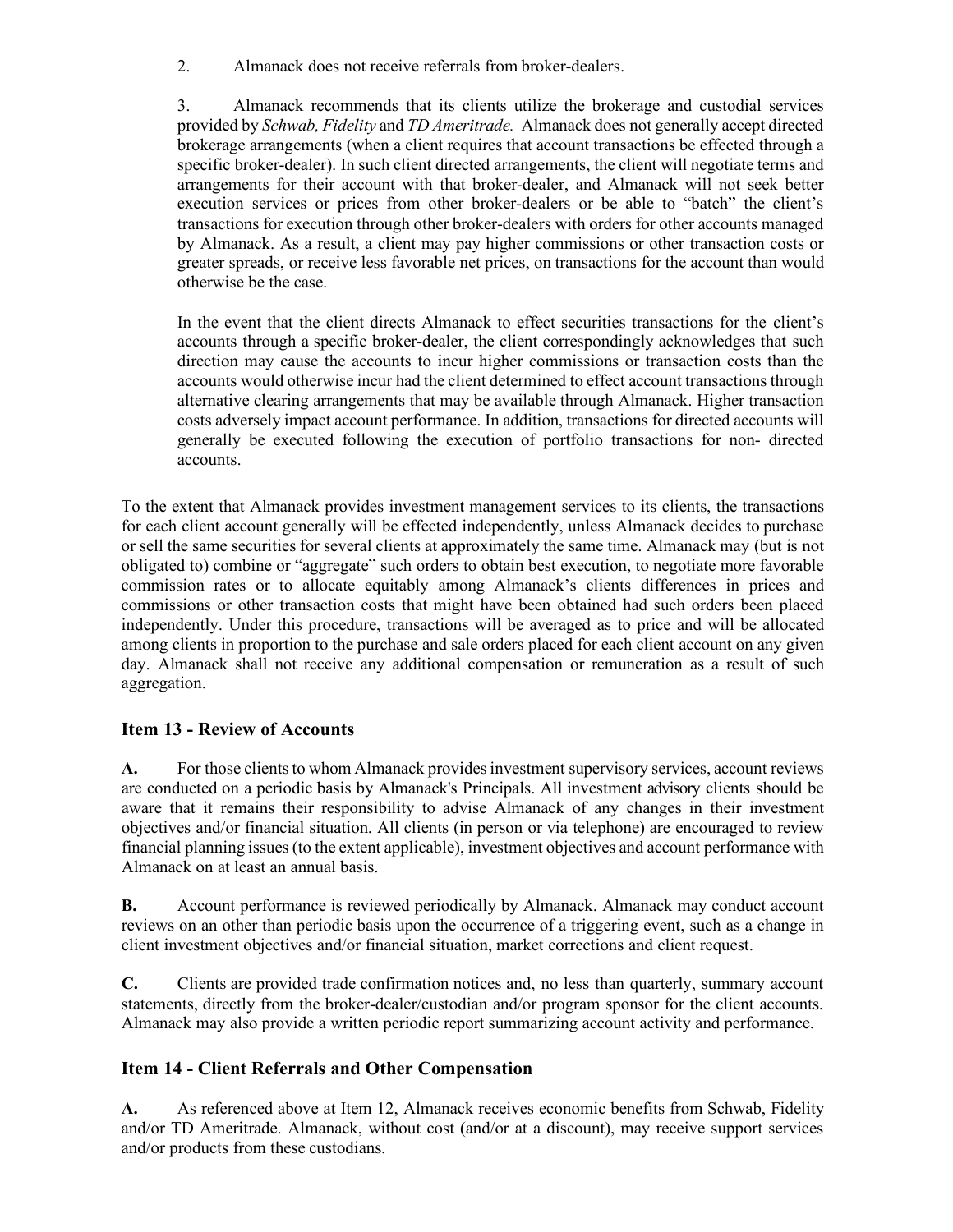2. Almanack does not receive referrals from broker-dealers.

3. Almanack recommends that its clients utilize the brokerage and custodial services provided by *Schwab, Fidelity* and *TD Ameritrade.* Almanack does not generally accept directed brokerage arrangements (when a client requires that account transactions be effected through a specific broker-dealer). In such client directed arrangements, the client will negotiate terms and arrangements for their account with that broker-dealer, and Almanack will not seek better execution services or prices from other broker-dealers or be able to "batch" the client's transactions for execution through other broker-dealers with orders for other accounts managed by Almanack. As a result, a client may pay higher commissions or other transaction costs or greater spreads, or receive less favorable net prices, on transactions for the account than would otherwise be the case.

In the event that the client directs Almanack to effect securities transactions for the client's accounts through a specific broker-dealer, the client correspondingly acknowledges that such direction may cause the accounts to incur higher commissions or transaction costs than the accounts would otherwise incur had the client determined to effect account transactions through alternative clearing arrangements that may be available through Almanack. Higher transaction costs adversely impact account performance. In addition, transactions for directed accounts will generally be executed following the execution of portfolio transactions for non- directed accounts.

To the extent that Almanack provides investment management services to its clients, the transactions for each client account generally will be effected independently, unless Almanack decides to purchase or sell the same securities for several clients at approximately the same time. Almanack may (but is not obligated to) combine or "aggregate" such orders to obtain best execution, to negotiate more favorable commission rates or to allocate equitably among Almanack's clients differences in prices and commissions or other transaction costs that might have been obtained had such orders been placed independently. Under this procedure, transactions will be averaged as to price and will be allocated among clients in proportion to the purchase and sale orders placed for each client account on any given day. Almanack shall not receive any additional compensation or remuneration as a result of such aggregation.

## <span id="page-23-0"></span>**Item 13 - Review of Accounts**

A. For those clients to whom Almanack provides investment supervisory services, account reviews are conducted on a periodic basis by Almanack's Principals. All investment advisory clients should be aware that it remains their responsibility to advise Almanack of any changes in their investment objectives and/or financial situation. All clients (in person or via telephone) are encouraged to review financial planning issues (to the extent applicable), investment objectives and account performance with Almanack on at least an annual basis.

**B.** Account performance is reviewed periodically by Almanack. Almanack may conduct account reviews on an other than periodic basis upon the occurrence of a triggering event, such as a change in client investment objectives and/or financial situation, market corrections and client request.

**C.** Clients are provided trade confirmation notices and, no less than quarterly, summary account statements, directly from the broker-dealer/custodian and/or program sponsor for the client accounts. Almanack may also provide a written periodic report summarizing account activity and performance.

# <span id="page-23-1"></span>**Item 14 - Client Referrals and Other Compensation**

**A.** As referenced above at Item 12, Almanack receives economic benefits from Schwab, Fidelity and/or TD Ameritrade. Almanack, without cost (and/or at a discount), may receive support services and/or products from these custodians.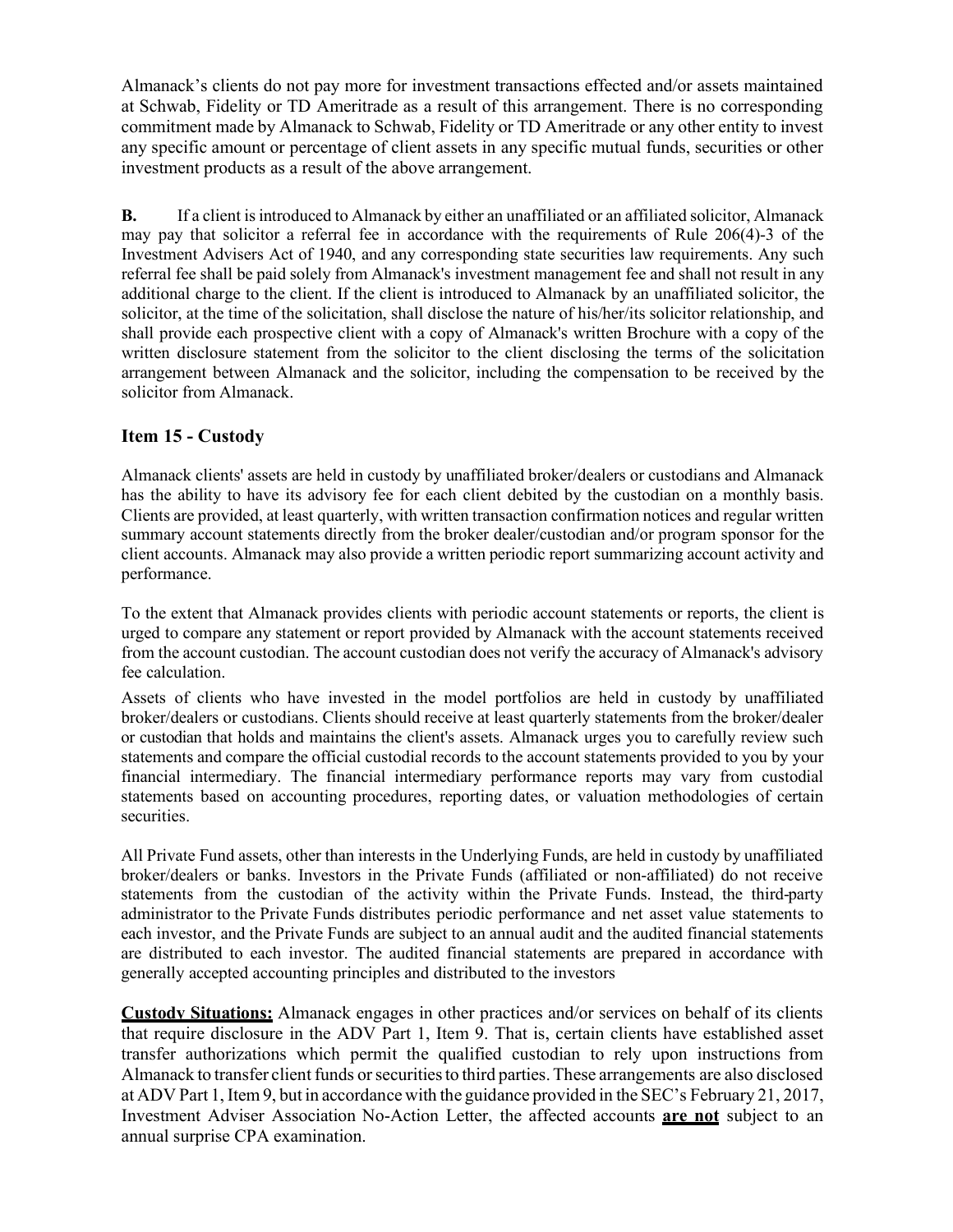Almanack's clients do not pay more for investment transactions effected and/or assets maintained at Schwab, Fidelity or TD Ameritrade as a result of this arrangement. There is no corresponding commitment made by Almanack to Schwab, Fidelity or TD Ameritrade or any other entity to invest any specific amount or percentage of client assets in any specific mutual funds, securities or other investment products as a result of the above arrangement.

**B.** If a client is introduced to Almanack by either an unaffiliated or an affiliated solicitor, Almanack may pay that solicitor a referral fee in accordance with the requirements of Rule 206(4)-3 of the Investment Advisers Act of 1940, and any corresponding state securities law requirements. Any such referral fee shall be paid solely from Almanack's investment management fee and shall not result in any additional charge to the client. If the client is introduced to Almanack by an unaffiliated solicitor, the solicitor, at the time of the solicitation, shall disclose the nature of his/her/its solicitor relationship, and shall provide each prospective client with a copy of Almanack's written Brochure with a copy of the written disclosure statement from the solicitor to the client disclosing the terms of the solicitation arrangement between Almanack and the solicitor, including the compensation to be received by the solicitor from Almanack.

## <span id="page-24-0"></span>**Item 15 - Custody**

Almanack clients' assets are held in custody by unaffiliated broker/dealers or custodians and Almanack has the ability to have its advisory fee for each client debited by the custodian on a monthly basis. Clients are provided, at least quarterly, with written transaction confirmation notices and regular written summary account statements directly from the broker dealer/custodian and/or program sponsor for the client accounts. Almanack may also provide a written periodic report summarizing account activity and performance.

To the extent that Almanack provides clients with periodic account statements or reports, the client is urged to compare any statement or report provided by Almanack with the account statements received from the account custodian. The account custodian does not verify the accuracy of Almanack's advisory fee calculation.

<span id="page-24-1"></span>Assets of clients who have invested in the model portfolios are held in custody by unaffiliated broker/dealers or custodians. Clients should receive at least quarterly statements from the broker/dealer or custodian that holds and maintains the client's assets. Almanack urges you to carefully review such statements and compare the official custodial records to the account statements provided to you by your financial intermediary. The financial intermediary performance reports may vary from custodial statements based on accounting procedures, reporting dates, or valuation methodologies of certain securities.

All Private Fund assets, other than interests in the Underlying Funds, are held in custody by unaffiliated broker/dealers or banks. Investors in the Private Funds (affiliated or non-affiliated) do not receive statements from the custodian of the activity within the Private Funds. Instead, the third-party administrator to the Private Funds distributes periodic performance and net asset value statements to each investor, and the Private Funds are subject to an annual audit and the audited financial statements are distributed to each investor. The audited financial statements are prepared in accordance with generally accepted accounting principles and distributed to the investors

**Custody Situations:** Almanack engages in other practices and/or services on behalf of its clients that require disclosure in the ADV Part 1, Item 9. That is, certain clients have established asset transfer authorizations which permit the qualified custodian to rely upon instructions from Almanack to transfer client funds or securities to third parties. These arrangements are also disclosed at ADV Part 1, Item 9, but in accordance with the guidance provided in the SEC's February 21, 2017, Investment Adviser Association No-Action Letter, the affected accounts **are not** subject to an annual surprise CPA examination.